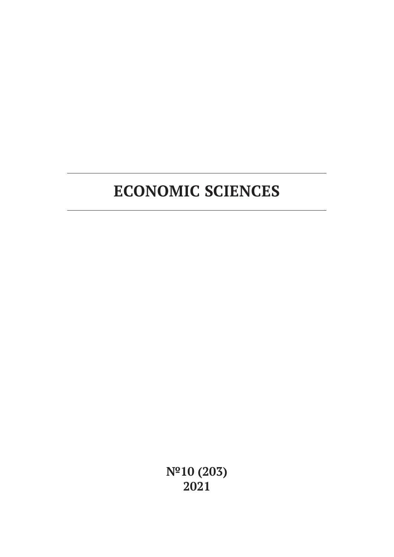**№10 (203) 2021**

# **ECONOMIC SCIENCES**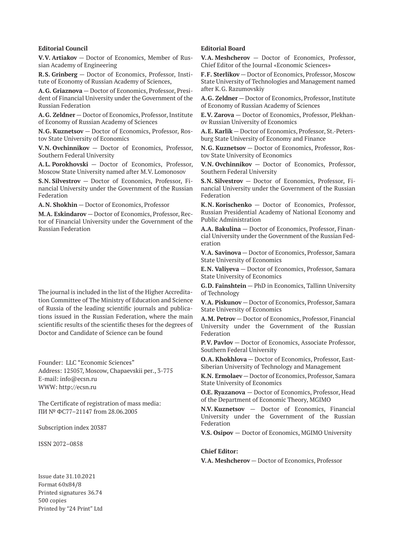#### **Editorial Council**

**V.V. Artiakov** — Doctor of Economics, Member of Russian Academy of Engineering

**R.S. Grinberg** — Doctor of Economics, Professor, Institute of Economy of Russian Academy of Sciences,

**A.G. Griaznova** — Doctor of Economics, Professor, President of Financial University under the Government of the Russian Federation

**A.G. Zeldner** — Doctor of Economics, Professor, Institute of Economy of Russian Academy of Sciences

**N.G. Kuznetsov** — Doctor of Economics, Professor, Rostov State University of Economics

**V.N. Ovchinnikov** — Doctor of Economics, Professor, Southern Federal University

**A.L. Porokhovski** — Doctor of Economics, Professor, Moscow State University named after M.V. Lomonosov

**S.N. Silvestrov** — Doctor of Economics, Professor, Financial University under the Government of the Russian Federation

**A.N. Shokhin** — Doctor of Economics, Professor

**M.A. Eskindarov** — Doctor of Economics, Professor, Rector of Financial University under the Government of the Russian Federation

The journal is included in the list of the Higher Accreditation Committee of The Ministry of Education and Science of Russia of the leading scientific journals and publications issued in the Russian Federation, where the main scientific results of the scientific theses for the degrees of Doctor and Candidate of Science can be found

Founder: LLC "Economic Sciences" Address: 125057, Moscow, Chapaevskii per., 3-775 E-mail: info@ecsn.ru WWW: http://ecsn.ru

The Certificate of registration of mass media: ПИ № ФС77–21147 from 28.06.2005

Subscription index 20387

ISSN 2072–0858

Issue date 31.10.2021 Format 60х84/8 Printed signatures 36.74 500 copies Printed by "24 Print" Ltd

#### **Editorial Board**

**V.A. Meshcherov** — Doctor of Economics, Professor, Chief Editor of the Journal «Economic Sciences»

**F.F. Sterlikov** — Doctor of Economics, Professor, Moscow State University of Technologies and Management named after K.G. Razumovskiy

**A.G. Zeldner** — Doctor of Economics, Professor, Institute of Economy of Russian Academy of Sciences

**E.V. Zarova** — Doctor of Economics, Professor, Plekhanov Russian University of Economics

**A.E. Karlik** — Doctor of Economics, Professor, St.-Petersburg State University of Economy and Finance

**N.G. Kuznetsov** — Doctor of Economics, Professor, Rostov State University of Economics

**V.N. Ovchinnikov** — Doctor of Economics, Professor, Southern Federal University

**S.N. Silvestrov** — Doctor of Economics, Professor, Financial University under the Government of the Russian Federation

**K.N. Korischenko** — Doctor of Economics, Professor, Russian Presidential Academy of National Economy and Public Administration

**A.A. Bakulina** — Doctor of Economics, Professor, Financial University under the Government of the Russian Federation

**V.A. Savinova** — Doctor of Economics, Professor, Samara State University of Economics

**E.N. Valiyeva** — Doctor of Economics, Professor, Samara State University of Economics

**G.D. Fainshtein** — PhD in Economics, Tallinn University of Technology

**V.A. Piskunov** — Doctor of Economics, Professor, Samara State University of Economics

**A.M. Petrov** — Doctor of Economics, Professor, Financial University under the Government of the Russian Federation

**P.V. Pavlov** — Doctor of Economics, Associate Professor, Southern Federal University

**O.A. Khokhlova** — Doctor of Economics, Professor, East-Siberian University of Technology and Management

**K.N. Ermolaev** — Doctor of Economics, Professor, Samara State University of Economics

**O.E. Ryazanova** — Doctor of Economics, Professor, Head of the Department of Economic Theory, MGIMO

**N.V. Kuznetsov** — Doctor of Economics, Financial University under the Government of the Russian Federation

**V.S. Osipov** — Doctor of Economics, MGIMO University

#### **Chief Editor:**

**V.A. Meshcherov** — Doctor of Economics, Professor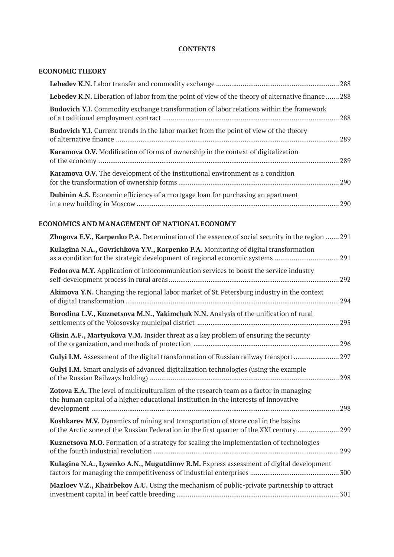### **CONTENTS**

### **ECONOMIC THEORY**

| <b>Lebedev K.N.</b> Liberation of labor from the point of view of the theory of alternative finance  288 |      |
|----------------------------------------------------------------------------------------------------------|------|
| <b>Budovich Y.I.</b> Commodity exchange transformation of labor relations within the framework           |      |
| <b>Budovich Y.I.</b> Current trends in the labor market from the point of view of the theory             |      |
| <b>Karamova O.V.</b> Modification of forms of ownership in the context of digitalization                 |      |
| <b>Karamova O.V.</b> The development of the institutional environment as a condition                     |      |
| <b>Dubinin A.S.</b> Economic efficiency of a mortgage loan for purchasing an apartment                   | .290 |

# **ECONOMICS AND MANAGEMENT OF NATIONAL ECONOMY**

| Zhogova E.V., Karpenko P.A. Determination of the essence of social security in the region  291                                                                                 |  |
|--------------------------------------------------------------------------------------------------------------------------------------------------------------------------------|--|
| Kulagina N.A., Gavrichkova Y.V., Karpenko P.A. Monitoring of digital transformation<br>as a condition for the strategic development of regional economic systems 291           |  |
| <b>Fedorova M.Y.</b> Application of infocommunication services to boost the service industry                                                                                   |  |
| Akimova Y.N. Changing the regional labor market of St. Petersburg industry in the context                                                                                      |  |
| Borodina L.V., Kuznetsova M.N., Yakimchuk N.N. Analysis of the unification of rural                                                                                            |  |
| Glisin A.F., Martyukova V.M. Insider threat as a key problem of ensuring the security                                                                                          |  |
| Gulyi I.M. Assessment of the digital transformation of Russian railway transport 297                                                                                           |  |
| Gulyi I.M. Smart analysis of advanced digitalization technologies (using the example                                                                                           |  |
| Zotova E.A. The level of multiculturalism of the research team as a factor in managing<br>the human capital of a higher educational institution in the interests of innovative |  |
| Koshkarev M.V. Dynamics of mining and transportation of stone coal in the basins<br>of the Arctic zone of the Russian Federation in the first quarter of the XXI century  299  |  |
| Kuznetsova M.O. Formation of a strategy for scaling the implementation of technologies                                                                                         |  |
| Kulagina N.A., Lysenko A.N., Mugutdinov R.M. Express assessment of digital development                                                                                         |  |
| Mazloev V.Z., Khairbekov A.U. Using the mechanism of public-private partnership to attract                                                                                     |  |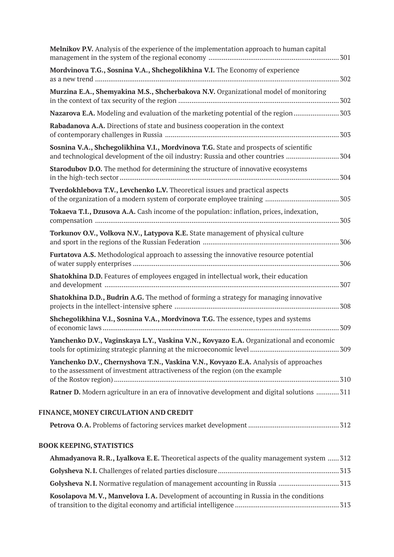| Melnikov P.V. Analysis of the experience of the implementation approach to human capital                                                                                  |  |
|---------------------------------------------------------------------------------------------------------------------------------------------------------------------------|--|
| Mordvinova T.G., Sosnina V.A., Shchegolikhina V.I. The Economy of experience                                                                                              |  |
| Murzina E.A., Shemyakina M.S., Shcherbakova N.V. Organizational model of monitoring                                                                                       |  |
|                                                                                                                                                                           |  |
| Rabadanova A.A. Directions of state and business cooperation in the context                                                                                               |  |
| Sosnina V.A., Shchegolikhina V.I., Mordvinova T.G. State and prospects of scientific<br>and technological development of the oil industry: Russia and other countries 304 |  |
| <b>Starodubov D.O.</b> The method for determining the structure of innovative ecosystems                                                                                  |  |
| Tverdokhlebova T.V., Levchenko L.V. Theoretical issues and practical aspects                                                                                              |  |
| Tokaeva T.I., Dzusova A.A. Cash income of the population: inflation, prices, indexation,                                                                                  |  |
| Torkunov O.V., Volkova N.V., Latypova K.E. State management of physical culture                                                                                           |  |
| <b>Furtatova A.S.</b> Methodological approach to assessing the innovative resource potential                                                                              |  |
| Shatokhina D.D. Features of employees engaged in intellectual work, their education                                                                                       |  |
| <b>Shatokhina D.D., Budrin A.G.</b> The method of forming a strategy for managing innovative                                                                              |  |
| Shchegolikhina V.I., Sosnina V.A., Mordvinova T.G. The essence, types and systems                                                                                         |  |
| Yanchenko D.V., Vaginskaya L.Y., Vaskina V.N., Kovyazo E.A. Organizational and economic                                                                                   |  |
| Yanchenko D.V., Chernyshova T.N., Vaskina V.N., Kovyazo E.A. Analysis of approaches<br>to the assessment of investment attractiveness of the region (on the example       |  |
| Ratner D. Modern agriculture in an era of innovative development and digital solutions  311                                                                               |  |
| FINANCE, MONEY CIRCULATION AND CREDIT                                                                                                                                     |  |
|                                                                                                                                                                           |  |
| <b>BOOK KEEPING, STATISTICS</b>                                                                                                                                           |  |
| Ahmadyanova R.R., Lyalkova E.E. Theoretical aspects of the quality management system  312                                                                                 |  |
|                                                                                                                                                                           |  |
| Golysheva N.I. Normative regulation of management accounting in Russia  313                                                                                               |  |

**Kosolapova M.V., Manvelova I.A.** Development of accounting in Russia in the conditions of transition to the digital economy and artificial intelligence ....................................................... 313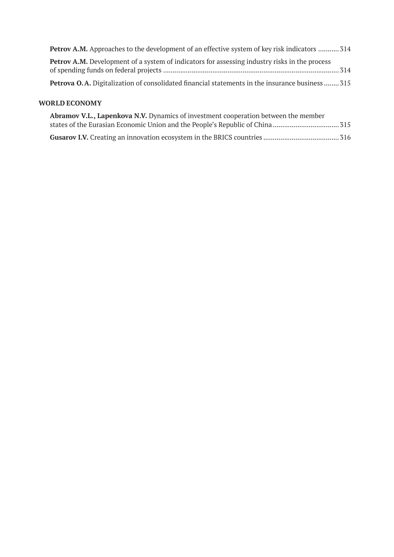| <b>Petrov A.M.</b> Approaches to the development of an effective system of key risk indicators  314    |  |
|--------------------------------------------------------------------------------------------------------|--|
| <b>Petrov A.M.</b> Development of a system of indicators for assessing industry risks in the process   |  |
| <b>Petrova O.A.</b> Digitalization of consolidated financial statements in the insurance business  315 |  |

# **WORLD ECONOMY**

| Abramov V.L., Lapenkova N.V. Dynamics of investment cooperation between the member |  |
|------------------------------------------------------------------------------------|--|
|                                                                                    |  |
|                                                                                    |  |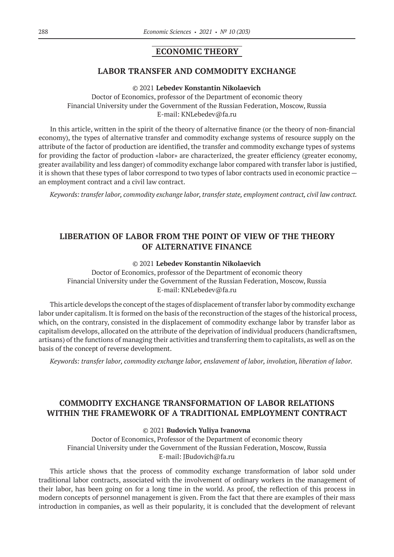### **ECONOMIC THEORY**

### **LABOR TRANSFER AND COMMODITY EXCHANGE**

© 2021 **Lebedev Konstantin Nikolaevich**

Doctor of Economics, professor of the Department of economic theory Financial University under the Government of the Russian Federation, Moscow, Russia E-mail: KNLebedev@fa.ru

In this article, written in the spirit of the theory of alternative finance (or the theory of non-financial economy), the types of alternative transfer and commodity exchange systems of resource supply on the attribute of the factor of production are identified, the transfer and commodity exchange types of systems for providing the factor of production «labor» are characterized, the greater efficiency (greater economy, greater availability and less danger) of commodity exchange labor compared with transfer labor is justified, it is shown that these types of labor correspond to two types of labor contracts used in economic practice an employment contract and a civil law contract.

*Keywords: transfer labor, commodity exchange labor, transfer state, employment contract, civil law contract.*

# **LIBERATION OF LABOR FROM THE POINT OF VIEW OF THE THEORY OF ALTERNATIVE FINANCE**

### © 2021 **Lebedev Konstantin Nikolaevich**

Doctor of Economics, professor of the Department of economic theory Financial University under the Government of the Russian Federation, Moscow, Russia E-mail: KNLebedev@fa.ru

This article develops the concept of the stages of displacement of transfer labor by commodity exchange labor under capitalism. It is formed on the basis of the reconstruction of the stages of the historical process, which, on the contrary, consisted in the displacement of commodity exchange labor by transfer labor as capitalism develops, allocated on the attribute of the deprivation of individual producers (handicraftsmen, artisans) of the functions of managing their activities and transferring them to capitalists, as well as on the basis of the concept of reverse development.

*Keywords: transfer labor, commodity exchange labor, enslavement of labor, involution, liberation of labor.*

# **COMMODITY EXCHANGE TRANSFORMATION OF LABOR RELATIONS WITHIN THE FRAMEWORK OF A TRADITIONAL EMPLOYMENT CONTRACT**

#### © 2021 **Budovich Yuliya Ivanovna**

Doctor of Economics, Professor of the Department of economic theory Financial University under the Government of the Russian Federation, Moscow, Russia E-mail: JBudovich@fa.ru

This article shows that the process of commodity exchange transformation of labor sold under traditional labor contracts, associated with the involvement of ordinary workers in the management of their labor, has been going on for a long time in the world. As proof, the reflection of this process in modern concepts of personnel management is given. From the fact that there are examples of their mass introduction in companies, as well as their popularity, it is concluded that the development of relevant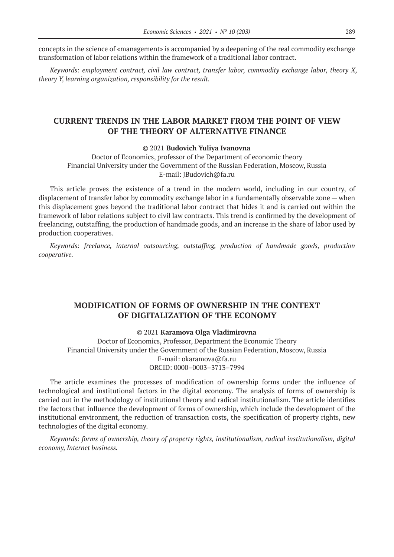concepts in the science of «management» is accompanied by a deepening of the real commodity exchange transformation of labor relations within the framework of a traditional labor contract.

*Keywords: employment contract, civil law contract, transfer labor, commodity exchange labor, theory X, theory Y, learning organization, responsibility for the result.*

### **CURRENT TRENDS IN THE LABOR MARKET FROM THE POINT OF VIEW OF THE THEORY OF ALTERNATIVE FINANCE**

#### © 2021 **Budovich Yuliya Ivanovna**

Doctor of Economics, professor of the Department of economic theory Financial University under the Government of the Russian Federation, Moscow, Russia E-mail: JBudovich@fa.ru

This article proves the existence of a trend in the modern world, including in our country, of displacement of transfer labor by commodity exchange labor in a fundamentally observable zone — when this displacement goes beyond the traditional labor contract that hides it and is carried out within the framework of labor relations subject to civil law contracts. This trend is confirmed by the development of freelancing, outstaffing, the production of handmade goods, and an increase in the share of labor used by production cooperatives.

*Keywords: freelance, internal outsourcing, outstaffing, production of handmade goods, production cooperative.*

# **MODIFICATION OF FORMS OF OWNERSHIP IN THE CONTEXT OF DIGITALIZATION OF THE ECONOMY**

### © 2021 **Karamova Olga Vladimirovna**

Doctor of Economics, Professor, Department the Economic Theory Financial University under the Government of the Russian Federation, Moscow, Russia E-mail: okaramova@fa.ru ORCID: 0000–0003–3713–7994

The article examines the processes of modification of ownership forms under the influence of technological and institutional factors in the digital economy. The analysis of forms of ownership is carried out in the methodology of institutional theory and radical institutionalism. The article identifies the factors that influence the development of forms of ownership, which include the development of the institutional environment, the reduction of transaction costs, the specification of property rights, new technologies of the digital economy.

*Keywords: forms of ownership, theory of property rights, institutionalism, radical institutionalism, digital economy, Internet business.*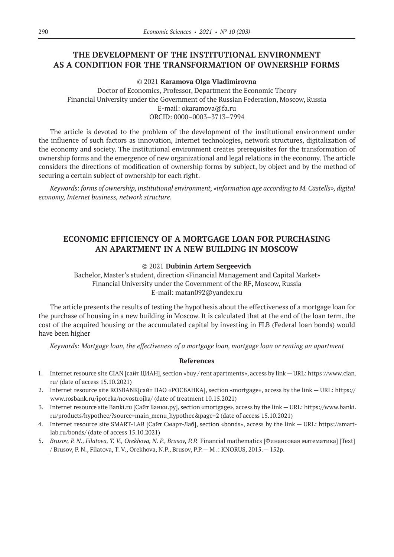# **THE DEVELOPMENT OF THE INSTITUTIONAL ENVIRONMENT AS A CONDITION FOR THE TRANSFORMATION OF OWNERSHIP FORMS**

© 2021 **Karamova Olga Vladimirovna**

Doctor of Economics, Professor, Department the Economic Theory Financial University under the Government of the Russian Federation, Moscow, Russia E-mail: okaramova@fa.ru ORCID: 0000–0003–3713–7994

The article is devoted to the problem of the development of the institutional environment under the influence of such factors as innovation, Internet technologies, network structures, digitalization of the economy and society. The institutional environment creates prerequisites for the transformation of ownership forms and the emergence of new organizational and legal relations in the economy. The article considers the directions of modification of ownership forms by subject, by object and by the method of securing a certain subject of ownership for each right.

*Keywords: forms of ownership, institutional environment, «information age according to M.Castells», digital economy, Internet business, network structure.*

# **ECONOMIC EFFICIENCY OF A MORTGAGE LOAN FOR PURCHASING AN APARTMENT IN A NEW BUILDING IN MOSCOW**

### © 2021 **Dubinin Artem Sergeevich**

Bachelor, Master's student, direction «Financial Management and Capital Market» Financial University under the Government of the RF, Moscow, Russia E-mail: matan092@yandex.ru

The article presents the results of testing the hypothesis about the effectiveness of a mortgage loan for the purchase of housing in a new building in Moscow. It is calculated that at the end of the loan term, the cost of the acquired housing or the accumulated capital by investing in FLB (Federal loan bonds) would have been higher

*Keywords: Mortgage loan, the effectiveness of a mortgage loan, mortgage loan or renting an apartment*

- 1. Internet resource site CIAN [сайт ЦИАН], section «buy / rent apartments», access by link URL: https://www.cian. ru/ (date of access 15.10.2021)
- 2. Internet resource site ROSBANK[сайт ПАО «РОСБАНКА], section «mortgage», access by the link URL: https:// www.rosbank.ru/ipoteka/novostrojka/ (date of treatment 10.15.2021)
- 3. Internet resource site Banki.ru [Сайт Банки.ру], section «mortgage», access by the link URL: https://www.banki. ru/products/hypothec/?source=main\_menu\_hypothec&page=2 (date of access 15.10.2021)
- 4. Internet resource site SMART-LAB [Сайт Смарт-Лаб], section «bonds», access by the link URL: https://smartlab.ru/bonds/ (date of access 15.10.2021)
- 5. *Brusov, P. N., Filatova, T. V., Orekhova, N. P., Brusov, P.P.* Financial mathematics [Финансовая математика] [Text] / Brusov, P. N., Filatova, T. V., Orekhova, N.P., Brusov, P.P.— M .: KNORUS, 2015.— 152p.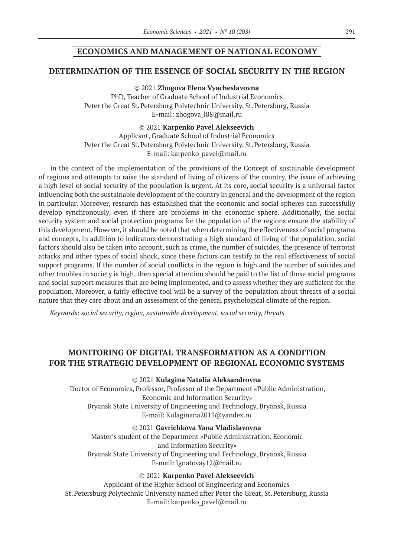### **ECONOMICS AND MANAGEMENT OF NATIONAL ECONOMY**

### **DETERMINATION OF THE ESSENCE OF SOCIAL SECURITY IN THE REGION**

© 2021 **Zhogova Elena Vyacheslavovna** PhD, Teacher of Graduate School of Industrial Economics Peter the Great St.Petersburg Polytechnic University, St.Petersburg, Russia E-mail: zhogova\_l88@mail.ru

© 2021 **Karpenko Pavel Alekseevich**

Applicant, Graduate School of Industrial Economics Peter the Great St. Petersburg Polytechnic University, St. Petersburg, Russia E-mail: karpenko\_pavel@mail.ru

In the context of the implementation of the provisions of the Concept of sustainable development of regions and attempts to raise the standard of living of citizens of the country, the issue of achieving a high level of social security of the population is urgent. At its core, social security is a universal factor influencing both the sustainable development of the country in general and the development of the region in particular. Moreover, research has established that the economic and social spheres can successfully develop synchronously, even if there are problems in the economic sphere. Additionally, the social security system and social protection programs for the population of the regions ensure the stability of this development. However, it should be noted that when determining the effectiveness of social programs and concepts, in addition to indicators demonstrating a high standard of living of the population, social factors should also be taken into account, such as crime, the number of suicides, the presence of terrorist attacks and other types of social shock, since these factors can testify to the real effectiveness of social support programs. If the number of social conflicts in the region is high and the number of suicides and other troubles in society is high, then special attention should be paid to the list of those social programs and social support measures that are being implemented, and to assess whether they are sufficient for the population. Moreover, a fairly effective tool will be a survey of the population about threats of a social nature that they care about and an assessment of the general psychological climate of the region.

*Keywords: social security, region, sustainable development, social security, threats*

# **MONITORING OF DIGITAL TRANSFORMATION AS A CONDITION FOR THE STRATEGIC DEVELOPMENT OF REGIONAL ECONOMIC SYSTEMS**

© 2021 **Kulagina Natalia Aleksandrovna**

Doctor of Economics, Professor, Professor of the Department «Public Administration, Economic and Information Security» Bryansk State University of Engineering and Technology, Bryansk, Russia E-mail: Kulaginana2013@yandex.ru

© 2021 **Gavrichkova Yana Vladislavovna**

Master's student of the Department «Public Administration, Economic and Information Security» Bryansk State University of Engineering and Technology, Bryansk, Russia E-mail: Ignatovay12@mail.ru

© 2021 **Karpenko Pavel Alekseevich**

Applicant of the Higher School of Engineering and Economics St.Petersburg Polytechnic University named after Peter the Great, St.Petersburg, Russia E-mail: karpenko\_pavel@mail.ru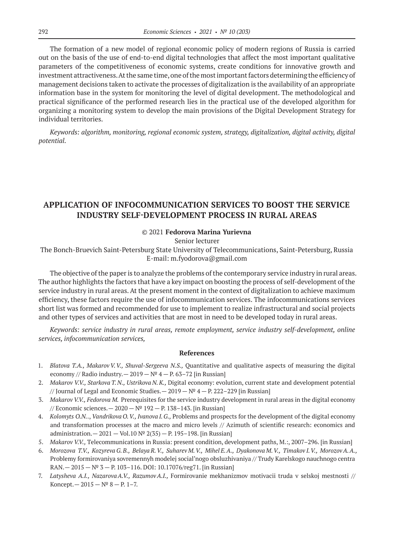The formation of a new model of regional economic policy of modern regions of Russia is carried out on the basis of the use of end-to-end digital technologies that affect the most important qualitative parameters of the competitiveness of economic systems, create conditions for innovative growth and investment attractiveness. At the same time, one of the most important factors determining the efficiency of management decisions taken to activate the processes of digitalization is the availability of an appropriate information base in the system for monitoring the level of digital development. The methodological and practical significance of the performed research lies in the practical use of the developed algorithm for organizing a monitoring system to develop the main provisions of the Digital Development Strategy for individual territories.

*Keywords: algorithm, monitoring, regional economic system, strategy, digitalization, digital activity, digital potential.*

# **APPLICATION OF INFOCOMMUNICATION SERVICES TO BOOST THE SERVICE INDUSTRY SELF-DEVELOPMENT PROCESS IN RURAL AREAS**

### © 2021 **Fedorova Marina Yurievna**

Senior lecturer

The Bonch-Bruevich Saint-Petersburg State University of Telecommunications, Saint-Petersburg, Russia E-mail: m.fyodorova@gmail.com

The objective of the paper is to analyze the problems of the contemporary service industry in rural areas. The author highlights the factors that have a key impact on boosting the process of self-development of the service industry in rural areas. At the present moment in the context of digitalization to achieve maximum efficiency, these factors require the use of infocommunication services. The infocommunications services short list was formed and recommended for use to implement to realize infrastructural and social projects and other types of services and activities that are most in need to be developed today in rural areas.

*Keywords: service industry in rural areas, remote employment, service industry self-development, online services, infocommunication services,*

- 1. *Blatova T.A., MakarovV.V., Shuval-Sergeeva N.S.,* Quantitative and qualitative aspects of measuring the digital economy // Radio industry.  $- 2019 - N^2 4 - P. 63 - 72$  [in Russian]
- 2. *Makarov V.V., Starkova T.N., Ustrikova N.K.,* Digital economy: evolution, current state and development potential // Journal of Legal and Economic Studies.  $-2019 - N^{\circ}4 - P. 222 - 229$  [in Russian]
- 3. *Makarov V.V., Fedorova M.* Prerequisites for the service industry development in rural areas in the digital economy // Economic sciences.— 2020 —№ 192 — Р. 138–143. [in Russian]
- 4. *Kolomyts O.N.*., *Vandrikova O.V., Ivanova I.G.,* Problems and prospects for the development of the digital economy and transformation processes at the macro and micro levels // Azimuth of scientific research: economics and administration.— 2021 — Vol.10 № 2(35) — P. 195–198. [in Russian]
- 5. *Makarov V.V.,* Тelecommunications in Russia: present condition, development paths, М.:, 2007–296. [in Russian]
- 6. *Morozova T.V., KozyrevaG.B., Belaya R.V., Suharev M.V., Mihel E.A., Dyakonova M.V., Timakov I.V., MorozovA.A.,*  Problemy formirovaniya sovremennyh modelej social'nogo obsluzhivaniya // Trudy Karelskogo nauchnogo centra  $RAN. - 2015 - N^2 3 - P.$  103-116. DOI: 10.17076/reg71. [in Russian]
- 7. *Latysheva A.I., NazarovaA.V., RazumovA.I.,* Formirovanie mekhanizmov motivacii truda v selskoj mestnosti // Koncept.  $-2015 - N^2 8 - P. 1 - 7$ .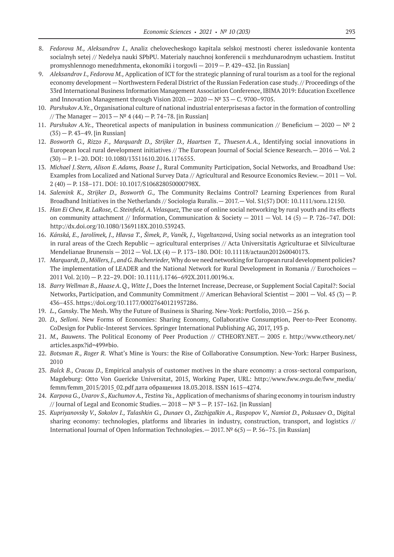- 8. *Fedorova M., Aleksandrov I.,* Analiz chelovecheskogo kapitala selskoj mestnosti cherez issledovanie kontenta socialnyh setej // Nedelya nauki SPbPU. Materialy nauchnoj konferencii s mezhdunarodnym uchastiem. Institut promyshlennogo menedzhmenta, ekonomiki i torgovli — 2019 — P. 429–432. [in Russian]
- 9. *Aleksandrov I., Fedorova M.,* Application of ICT for the strategic planning of rural tourism as a tool for the regional economy development — Northwestern Federal District of the Russian Federation case study. // Proceedings of the 33rd International Business Information Management Association Conference, IBIMA 2019: Education Excellence and Innovation Management through Vision  $2020-2020-\mathbb{N}^{\circ} 33-\mathbb{C}$ . 9700-9705.
- 10. *Parshukov A.Ye.,* Organisational culture of national industrial enterprisesas a factor in the formation of controlling // The Manager  $-2013 - N^{\circ} 4 (44) - P. 74-78$ . [in Russian]
- 11. *Parshukov A.Ye.,* Theoretical aspects of manipulation in business communication // Beneficium 2020 № 2 (35) — P. 43–49. [in Russian]
- 12. *Bosworth G., Rizzo F., Marquardt D., Strijker D., Haartsen T., ThuesenA.A.,* Identifying social innovations in European local rural development initiatives // The European Journal of Social Science Research.— 2016 — Vol. 2 (30) — Р. 1–20. DOI: 10.1080/13511610.2016.1176555.
- 13. *Michael J.Stern, Alison E.Adams, Boase J.,* Rural Community Participation, Social Networks, and Broadband Use: Examples from Localized and National Survey Data // Agricultural and Resource Economics Review.— 2011 — Vol. 2 (40) — P. 158–171. DOI: 10.1017/S106828050000798X.
- 14. *Salemink K., Strijker D., Bosworth G.,* The Community Reclaims Control? Learning Experiences from Rural Broadband Initiatives in the Netherlands // Sociologia Ruralis.— 2017.— Vol. S1(57) DOI: 10.1111/soru.12150.
- 15. *Han Ei Chew, R.LaRose, C.Steinfield, A.Velasquez*, The use of online social networking by rural youth and its effects on community attachment // Information, Communication & Society  $- 2011 - Vol$ . 14 (5)  $- P$ . 726–747. DOI: http://dx.doi.org/10.1080/1369118X.2010.539243.
- 16. *Kánská, E., Jarolímek, J., Hlavsa T., Šimek, P., Vaněk, J., Vogeltanzová*, Using social networks as an integration tool in rural areas of the Czech Republic — agricultural enterprises // Acta Universitatis Agriculturae et Silviculturae Mendelianae Brunensis — 2012 — Vol. LX (4) — P. 173–180. DOI: 10.11118/actaun201260040173.
- 17. *Marquardt, D., Möllers, J., and G.Buchenrieder,* Why do we need networking for European rural development policies? The implementation of LEADER and the National Network for Rural Development in Romania // Eurochoices – 2011 Vol. 2(10) — P. 22–29. DOI: 10.1111/j.1746–692X.2011.00196.x.
- 18. *Barry Wellman B., HaaseA.Q., Witte J.,* Does the Internet Increase, Decrease, or Supplement Social Capital?: Social Networks, Participation, and Community Commitment // American Behavioral Scientist  $-2001 -$  Vol. 45 (3)  $-$  P. 436–455. https://doi.org/10.1177/00027640121957286.
- 19. *L., Gansky*. The Mesh. Why the Future of Business is Sharing. New-York: Portfolio, 2010.— 256 p.
- 20. *D., Selloni*. New Forms of Economies: Sharing Economy, Collaborative Consumption, Peer-to-Peer Economy. CoDesign for Public-Interest Services. Springer International Publishing AG, 2017, 193 p.
- 21. *M., Bauwens*. The Political Economy of Peer Production // CTHEORY.NET.— 2005 г. http://www.ctheory.net/ articles.aspx?id=499#bio.
- 22. *Botsman R., Roger R.* What's Mine is Yours: the Rise of Collaborative Consumption. New-York: Harper Business, 2010
- 23. *Balck B., Cracau D.,* Empirical analysis of customer motives in the share economy: a cross-sectoral comparison, Magdeburg: Otto Von Guericke Universitat, 2015, Working Paper, URL: http://www.fww.ovgu.de/fww\_media/ femm/femm\_2015/2015\_02.pdf дата обращения 18.03.2018. ISSN 1615–4274.
- 24. *Karpova G., Uvarov S., Kuchumov A., Testina Ya.,* Application of mechanisms of sharing economy in tourism industry // Journal of Legal and Economic Studies.  $-2018 - N^2 3 - P. 157-162$ . [in Russian]
- 25. *Kupriyanovsky V., Sokolov I., Talashkin G., Dunaev O., Zazhigalkin A., Raspopov V., Namiot D., Pokusaev O.,* Digital sharing economy: technologies, platforms and libraries in industry, construction, transport, and logistics // International Journal of Open Information Technologies.— 2017. № 6(5) — P. 56–75. [in Russian]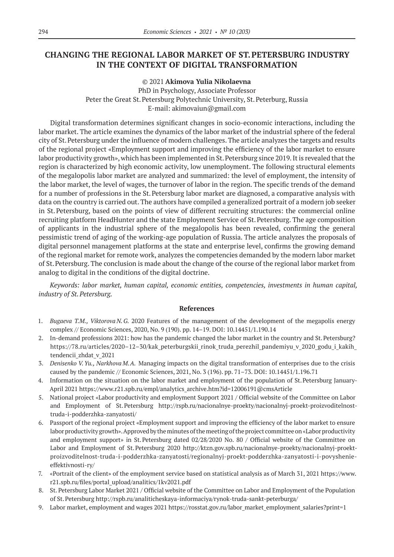# **CHANGING THE REGIONAL LABOR MARKET OF ST.PETERSBURG INDUSTRY IN THE CONTEXT OF DIGITAL TRANSFORMATION**

### © 2021 **Akimova Yulia Nikolaevna**

PhD in Psychology, Associate Professor Peter the Great St. Petersburg Polytechnic University, St. Peterburg, Russia E-mail: akimovaiun@gmail.com

Digital transformation determines significant changes in socio-economic interactions, including the labor market. The article examines the dynamics of the labor market of the industrial sphere of the federal city of St.Petersburg under the influence of modern challenges. The article analyzes the targets and results of the regional project «Employment support and improving the efficiency of the labor market to ensure labor productivity growth», which has been implemented in St. Petersburg since 2019. It is revealed that the region is characterized by high economic activity, low unemployment. The following structural elements of the megalopolis labor market are analyzed and summarized: the level of employment, the intensity of the labor market, the level of wages, the turnover of labor in the region. The specific trends of the demand for a number of professions in the St.Petersburg labor market are diagnosed, a comparative analysis with data on the country is carried out. The authors have compiled a generalized portrait of a modern job seeker in St.Petersburg, based on the points of view of different recruiting structures: the commercial online recruiting platform HeadHunter and the state Employment Service of St.Petersburg. The age composition of applicants in the industrial sphere of the megalopolis has been revealed, confirming the general pessimistic trend of aging of the working-age population of Russia. The article analyzes the proposals of digital personnel management platforms at the state and enterprise level, confirms the growing demand of the regional market for remote work, analyzes the competencies demanded by the modern labor market of St.Petersburg. The conclusion is made about the change of the course of the regional labor market from analog to digital in the conditions of the digital doctrine.

*Keywords: labor market, human capital, economic entities, competencies, investments in human capital, industry of St.Petersburg.*

- 1. *Bugaeva T.M., Viktorova N.G.* 2020 Features of the management of the development of the megapolis energy complex // Economic Sciences, 2020, No. 9 (190). pp. 14–19. DOI: 10.14451/1.190.14
- 2. In-demand professions 2021: how has the pandemic changed the labor market in the country and St.Petersburg? https://78.ru/articles/2020-12-30/kak\_peterburgskii\_rinok\_truda\_perezhil\_pandemiyu\_v\_2020\_godu\_i\_kakih\_ tendencii\_zhdat\_v\_2021
- 3. *Denisenko V.Yu., Narkhova M.A.* Managing impacts on the digital transformation of enterprises due to the crisis caused by the pandemic // Economic Sciences, 2021, No. 3 (196). pp. 71–73. DOI: 10.14451/1.196.71
- 4. Information on the situation on the labor market and employment of the population of St.Petersburg January-April 2021 https://www.r21.spb.ru/empl/analytics\_archive.htm?id=12006191@cmsArticle
- 5. National project «Labor productivity and employment Support 2021 / Official website of the Committee on Labor and Employment of St.Petersburg http://rspb.ru/nacionalnye-proekty/nacionalnyj-proekt-proizvoditelnosttruda-i-podderzhka-zanyatosti/
- 6. Passport of the regional project «Employment support and improving the efficiency of the labor market to ensure labor productivity growth». Approved by the minutes of the meeting of the project committee on «Labor productivity and employment support» in St.Petersburg dated 02/28/2020 No. 80 / Official website of the Committee on Labor and Employment of St.Petersburg 2020 http://ktzn.gov.spb.ru/nacionalnye-proekty/nacionalnyj-proektproizvoditelnost-truda-i-podderzhka-zanyatosti/regionalnyj-proekt-podderzhka-zanyatosti-i-povyshenieeffektivnosti-ry/
- 7. «Portrait of the client» of the employment service based on statistical analysis as of March 31, 2021 https://www. r21.spb.ru/files/portal\_upload/analitics/1kv2021.pdf
- 8. St. Petersburg Labor Market 2021 / Official website of the Committee on Labor and Employment of the Population of St.Petersburg http://rspb.ru/analiticheskaya-informaciya/rynok-truda-sankt-peterburga/
- 9. Labor market, employment and wages 2021 https://rosstat.gov.ru/labor\_market\_employment\_salaries?print=1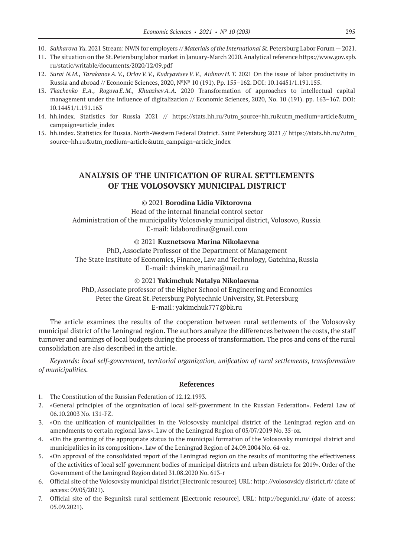- 10. *Sakharova Yu.* 2021 Stream: NWN for employers // *Materials of the International St.*Petersburg Labor Forum 2021.
- 11. The situation on the St.Petersburg labor market in January-March 2020. Analytical reference https://www.gov.spb. ru/static/writable/documents/2020/12/09.pdf
- 12. *Surai N.M., TarakanovA.V., OrlovV.V., KudryavtsevV.V., Aidinov H.T.* 2021 On the issue of labor productivity in Russia and abroad // Economic Sciences, 2020, №№ 10 (191). Pp. 155–162. DOI: 10.14451/1.191.155.
- 13. *Tkachenko E.A., Rogova E.M., KhuazhevA.A.* 2020 Transformation of approaches to intellectual capital management under the influence of digitalization // Economic Sciences, 2020, No. 10 (191). pp. 163–167. DOI: 10.14451/1.191.163
- 14. hh.index. Statistics for Russia 2021 // https://stats.hh.ru/?utm\_source=hh.ru&utm\_medium=article&utm\_ campaign=article\_index
- 15. hh.index. Statistics for Russia. North-Western Federal District. Saint Petersburg 2021 // https://stats.hh.ru/?utm\_ source=hh.ru&utm\_medium=article&utm\_campaign=article\_index

# **ANALYSIS OF THE UNIFICATION OF RURAL SETTLEMENTS OF THE VOLOSOVSKY MUNICIPAL DISTRICT**

### © 2021 **Borodina Lidia Viktorovna**

Head of the internal financial control sector Administration of the municipality Volosovsky municipal district, Volosovo, Russia E-mail: lidaborodina@gmail.com

### © 2021 **Kuznetsova Marina Nikolaevna**

PhD, Associate Professor of the Department of Management The State Institute of Economics, Finance, Law and Technology, Gatchina, Russia E-mail: dvinskih\_marina@mail.ru

© 2021 **Yakimchuk Natalya Nikolaevna** PhD, Associate professor of the Higher School of Engineering and Economics Peter the Great St. Petersburg Polytechnic University, St. Petersburg E-mail: yakimchuk777@bk.ru

The article examines the results of the cooperation between rural settlements of the Volosovsky municipal district of the Leningrad region. The authors analyze the differences between the costs, the staff turnover and earnings of local budgets during the process of transformation. The pros and cons of the rural consolidation are also described in the article.

*Keywords: local self-government, territorial organization, unification of rural settlements, transformation of municipalities.*

- 1. The Constitution of the Russian Federation of 12.12.1993.
- 2. «General principles of the organization of local self-government in the Russian Federation». Federal Law of 06.10.2003 No. 131-FZ.
- 3. «On the unification of municipalities in the Volosovsky municipal district of the Leningrad region and on amendments to certain regional laws». Law of the Leningrad Region of 05/07/2019 No. 35‑oz.
- 4. «On the granting of the appropriate status to the municipal formation of the Volosovsky municipal district and municipalities in its composition». Law of the Leningrad Region of 24.09.2004 No. 64-oz.
- 5. «On approval of the consolidated report of the Leningrad region on the results of monitoring the effectiveness of the activities of local self-government bodies of municipal districts and urban districts for 2019». Order of the Government of the Leningrad Region dated 31.08.2020 No. 613‑r
- 6. Official site of the Volosovsky municipal district [Electronic resource]. URL: http: //volosovskiy district.rf/ (date of access: 09/05/2021).
- 7. Official site of the Begunitsk rural settlement [Electronic resource]. URL: http://begunici.ru/ (date of access: 05.09.2021).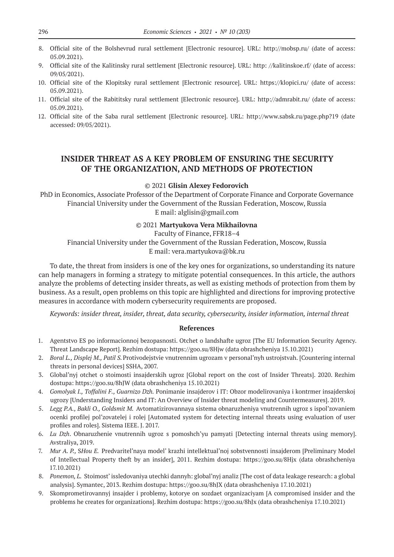- 8. Official site of the Bolshevrud rural settlement [Electronic resource]. URL: http://mobsp.ru/ (date of access: 05.09.2021).
- 9. Official site of the Kalitinsky rural settlement [Electronic resource]. URL: http: //kalitinskoe.rf/ (date of access: 09/05/2021).
- 10. Official site of the Klopitsky rural settlement [Electronic resource]. URL: https://klopici.ru/ (date of access: 05.09.2021).
- 11. Official site of the Rabititsky rural settlement [Electronic resource]. URL: http://admrabit.ru/ (date of access: 05.09.2021).
- 12. Official site of the Saba rural settlement [Electronic resource]. URL: http://www.sabsk.ru/page.php?19 (date accessed: 09/05/2021).

# **INSIDER THREAT AS A KEY PROBLEM OF ENSURING THE SECURITY OF THE ORGANIZATION, AND METHODS OF PROTECTION**

#### © 2021 **Glisin Alexey Fedorovich**

PhD in Economics, Associate Professor of the Department of Corporate Finance and Corporate Governance Financial University under the Government of the Russian Federation, Moscow, Russia E mail: alglisin@gmail.com

### © 2021 **Martyukova Vera Mikhailovna**

Faculty of Finance, FFR18–4 Financial University under the Government of the Russian Federation, Moscow, Russia E mail: vera.martyukova@bk.ru

To date, the threat from insiders is one of the key ones for organizations, so understanding its nature can help managers in forming a strategy to mitigate potential consequences. In this article, the authors analyze the problems of detecting insider threats, as well as existing methods of protection from them by business. As a result, open problems on this topic are highlighted and directions for improving protective measures in accordance with modern cybersecurity requirements are proposed.

*Keywords: insider threat, insider, threat, data security, cybersecurity, insider information, internal threat*

- 1. Agentstvo ES po informacionnoj bezopasnosti. Otchet o landshafte ugroz [The EU Information Security Agency. Threat Landscape Report]. Rezhim dostupa: https://goo.su/8Hjw (data obrashcheniya 15.10.2021)
- 2. *Boral L., Displej M., Patil S.*Protivodejstvie vnutrennim ugrozam v personal'nyh ustrojstvah. [Countering internal threats in personal devices] SSHA, 2007.
- 3. Global'nyj otchet o stoimosti insajderskih ugroz [Global report on the cost of Insider Threats]. 2020. Rezhim dostupa: https://goo.su/8hJW (data obrashcheniya 15.10.2021)
- 4. *Gomolyak I., Toffalini F., Guarnizo Dzh.* Ponimanie insajderov i IT: Obzor modelirovaniya i kontrmer insajderskoj ugrozy [Understanding Insiders and IT: An Overview of Insider threat modeling and Countermeasures]. 2019.
- 5. *Legg P.A., Bakli O., Goldsmit M.* Avtomatizirovannaya sistema obnaruzheniya vnutrennih ugroz s ispol'zovaniem ocenki profilej pol'zovatelej i rolej [Automated system for detecting internal threats using evaluation of user profiles and roles]. Sistema IEEE. J. 2017.
- 6. *Lu Dzh*. Obnaruzhenie vnutrennih ugroz s pomoshch'yu pamyati [Detecting internal threats using memory]. Avstraliya, 2019.
- 7. *Mur A. P.,* S*Hou E.* Predvaritel'naya model' krazhi intellektual'noj sobstvennosti insajderom [Preliminary Model of Intellectual Property theft by an insider], 2011. Rezhim dostupa: https://goo.su/8Hjx (data obrashcheniya 17.10.2021)
- 8. *Ponemon, L.* Stoimost' issledovaniya utechki dannyh: global'nyj analiz [The cost of data leakage research: a global analysis]. Symantec, 2013. Rezhim dostupa: https://goo.su/8hJX (data obrashcheniya 17.10.2021)
- 9. Skomprometirovannyj insajder i problemy, kotorye on sozdaet organizaciyam [A compromised insider and the problems he creates for organizations]. Rezhim dostupa: https://goo.su/8hJx (data obrashcheniya 17.10.2021)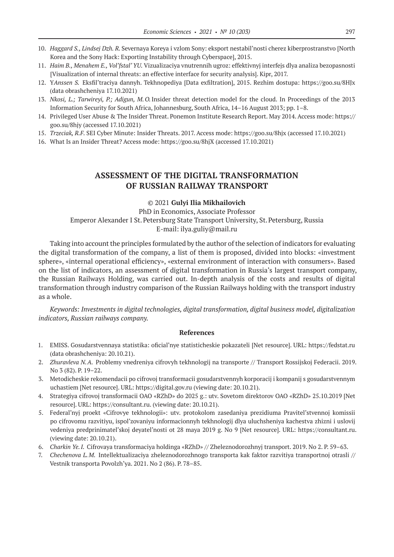- 10. *Haggard S., Lindsej Dzh. R.* Severnaya Koreya i vzlom Sony: eksport nestabil'nosti cherez kiberprostranstvo [North Korea and the Sony Hack: Exporting Instability through Cyberspace], 2015.
- 11. *Haim B., Menahem E., Vol'fstal' YU.* Vizualizaciya vnutrennih ugroz: effektivnyj interfejs dlya analiza bezopasnosti [Visualization of internal threats: an effective interface for security analysis]. Kipr, 2017.
- 12. Y*Anssen S.* Eksfil'traciya dannyh. Tekhnopediya [Data exfiltration], 2015. Rezhim dostupa: https://goo.su/8HJx (data obrashcheniya 17.10.2021)
- 13. *Nkosi, L.; Tarwireyi, P.; Adigun, M.O.*Insider threat detection model for the cloud. In Proceedings of the 2013 Information Security for South Africa, Johannesburg, South Africa, 14–16 August 2013; pp. 1–8.
- 14. Privileged User Abuse & The Insider Threat. Ponemon Institute Research Report. May 2014. Access mode: https:// goo.su/8hjy (accessed 17.10.2021)
- 15. *Trzeciak, R.F.* SEI Cyber Minute: Insider Threats. 2017. Access mode: https://goo.su/8hjx (accessed 17.10.2021)
- 16. What Is an Insider Threat? Access mode: https://goo.su/8hjX (accessed 17.10.2021)

### **ASSESSMENT OF THE DIGITAL TRANSFORMATION OF RUSSIAN RAILWAY TRANSPORT**

#### © 2021 **Gulyi Ilia Mikhailovich**

PhD in Economics, Associate Professor Emperor Alexander I St.Petersburg State Transport University, St.Petersburg, Russia E-mail: ilya.guliy@mail.ru

Taking into account the principles formulated by the author of the selection of indicators for evaluating the digital transformation of the company, a list of them is proposed, divided into blocks: «investment sphere», «internal operational efficiency», «external environment of interaction with consumers». Based on the list of indicators, an assessment of digital transformation in Russia's largest transport company, the Russian Railways Holding, was carried out. In-depth analysis of the costs and results of digital transformation through industry comparison of the Russian Railways holding with the transport industry as a whole.

*Keywords: Investments in digital technologies, digital transformation, digital business model, digitalization indicators, Russian railways company.*

- 1. EMISS. Gosudarstvennaya statistika: oficial'nye statisticheskie pokazateli [Net resource]. URL: https://fedstat.ru (data obrashcheniya: 20.10.21).
- 2. *Zhuravleva N.A.* Problemy vnedreniya cifrovyh tekhnologij na transporte // Transport Rossijskoj Federacii. 2019. No 3 (82). P. 19–22.
- 3. Metodicheskie rekomendacii po cifrovoj transformacii gosudarstvennyh korporacij i kompanij s gosudarstvennym uchastiem [Net resource]. URL: https://digital.gov.ru (viewing date: 20.10.21).
- 4. Strategiya cifrovoj transformacii OAO «RZhD» do 2025 g.: utv. Sovetom direktorov OAO «RZhD» 25.10.2019 [Net resource]. URL: https://consultant.ru. (viewing date: 20.10.21).
- 5. Federal'nyj proekt «Cifrovye tekhnologii»: utv. protokolom zasedaniya prezidiuma Pravitel'stvennoj komissii po cifrovomu razvitiyu, ispol'zovaniyu informacionnyh tekhnologij dlya uluchsheniya kachestva zhizni i uslovij vedeniya predprinimatel'skoj deyatel'nosti ot 28 maya 2019 g. No 9 [Net resource]. URL: https://consultant.ru. (viewing date: 20.10.21).
- 6. *Charkin Ye.I.* Cifrovaya transformaciya holdinga «RZhD» // Zheleznodorozhnyj transport. 2019. No 2. P. 59–63.
- 7. *Chechenova L.M.* Intellektualizaciya zheleznodorozhnogo transporta kak faktor razvitiya transportnoj otrasli // Vestnik transporta Povolzh'ya. 2021. No 2 (86). P. 78–85.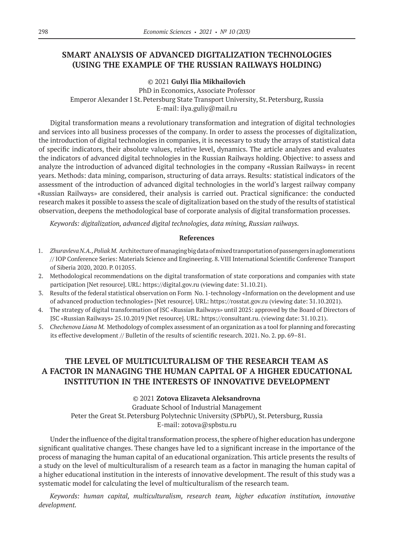# **SMART ANALYSIS OF ADVANCED DIGITALIZATION TECHNOLOGIES (USING THE EXAMPLE OF THE RUSSIAN RAILWAYS HOLDING)**

© 2021 **Gulyi Ilia Mikhailovich**

PhD in Economics, Associate Professor Emperor Alexander I St.Petersburg State Transport University, St.Petersburg, Russia E-mail: ilya.guliy@mail.ru

Digital transformation means a revolutionary transformation and integration of digital technologies and services into all business processes of the company. In order to assess the processes of digitalization, the introduction of digital technologies in companies, it is necessary to study the arrays of statistical data of specific indicators, their absolute values, relative level, dynamics. The article analyzes and evaluates the indicators of advanced digital technologies in the Russian Railways holding. Objective: to assess and analyze the introduction of advanced digital technologies in the company «Russian Railways» in recent years. Methods: data mining, comparison, structuring of data arrays. Results: statistical indicators of the assessment of the introduction of advanced digital technologies in the world's largest railway company «Russian Railways» are considered, their analysis is carried out. Practical significance: the conducted research makes it possible to assess the scale of digitalization based on the study of the results of statistical observation, deepens the methodological base of corporate analysis of digital transformation processes.

*Keywords: digitalization, advanced digital technologies, data mining, Russian railways.*

#### **References**

- 1. *Zhuravleva N.A., Poliak M.* Architecture of managing big data of mixed transportation of passengers in aglomerations // IOP Conference Series: Materials Science and Engineering. 8. VIII International Scientific Conference Transport of Siberia 2020, 2020. P. 012055.
- 2. Methodological recommendations on the digital transformation of state corporations and companies with state participation [Net resource]. URL: https://digital.gov.ru (viewing date: 31.10.21).
- 3. Results of the federal statistical observation on Form No. 1‑technology «Information on the development and use of advanced production technologies» [Net resource]. URL: https://rosstat.gov.ru (viewing date: 31.10.2021).
- 4. The strategy of digital transformation of JSC «Russian Railways» until 2025: approved by the Board of Directors of JSC «Russian Railways» 25.10.2019 [Net resource]. URL: https://consultant.ru. (viewing date: 31.10.21).
- 5. *Chechenova Liana M.* Methodology of complex assessment of an organization as a tool for planning and forecasting its effective development // Bulletin of the results of scientific research. 2021. No. 2. pp. 69–81.

# **THE LEVEL OF MULTICULTURALISM OF THE RESEARCH TEAM AS A FACTOR IN MANAGING THE HUMAN CAPITAL OF A HIGHER EDUCATIONAL INSTITUTION IN THE INTERESTS OF INNOVATIVE DEVELOPMENT**

© 2021 **Zotova Elizaveta Aleksandrovna**

Graduate School of Industrial Management Peter the Great St. Petersburg Polytechnic University (SPbPU), St. Petersburg, Russia E-mail: zotova@spbstu.ru

Under the influence of the digital transformation process, the sphere of higher education has undergone significant qualitative changes. These changes have led to a significant increase in the importance of the process of managing the human capital of an educational organization. This article presents the results of a study on the level of multiculturalism of a research team as a factor in managing the human capital of a higher educational institution in the interests of innovative development. The result of this study was a systematic model for calculating the level of multiculturalism of the research team.

*Keywords: human capital, multiculturalism, research team, higher education institution, innovative development.*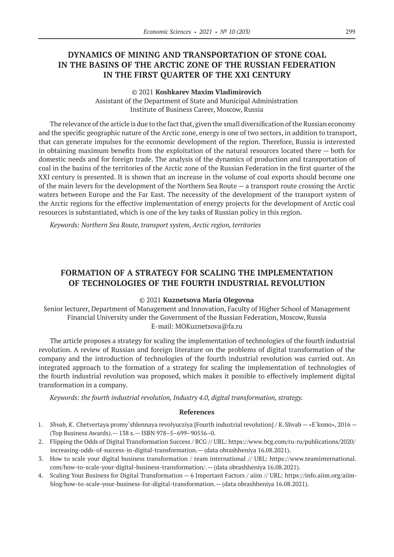# **DYNAMICS OF MINING AND TRANSPORTATION OF STONE COAL IN THE BASINS OF THE ARCTIC ZONE OF THE RUSSIAN FEDERATION IN THE FIRST QUARTER OF THE XXI CENTURY**

#### © 2021 **Koshkarev Maxim Vladimirovich**

Assistant of the Department of State and Municipal Administration Institute of Business Career, Moscow, Russia

The relevance of the article is due to the fact that, given the small diversification of the Russian economy and the specific geographic nature of the Arctic zone, energy is one of two sectors, in addition to transport, that can generate impulses for the economic development of the region. Therefore, Russia is interested in obtaining maximum benefits from the exploitation of the natural resources located there — both for domestic needs and for foreign trade. The analysis of the dynamics of production and transportation of coal in the basins of the territories of the Arctic zone of the Russian Federation in the first quarter of the XXI century is presented. It is shown that an increase in the volume of coal exports should become one of the main levers for the development of the Northern Sea Route — a transport route crossing the Arctic waters between Europe and the Far East. The necessity of the development of the transport system of the Arctic regions for the effective implementation of energy projects for the development of Arctic coal resources is substantiated, which is one of the key tasks of Russian policy in this region.

*Keywords: Northern Sea Route, transport system, Arctic region, territories*

# **FORMATION OF A STRATEGY FOR SCALING THE IMPLEMENTATION OF TECHNOLOGIES OF THE FOURTH INDUSTRIAL REVOLUTION**

### © 2021 **Kuznetsova Maria Olegovna**

Senior lecturer, Department of Management and Innovation, Faculty of Higher School of Management Financial University under the Government of the Russian Federation, Moscow, Russia E-mail: MOKuznetsova@fa.ru

The article proposes a strategy for scaling the implementation of technologies of the fourth industrial revolution. A review of Russian and foreign literature on the problems of digital transformation of the company and the introduction of technologies of the fourth industrial revolution was carried out. An integrated approach to the formation of a strategy for scaling the implementation of technologies of the fourth industrial revolution was proposed, which makes it possible to effectively implement digital transformation in a company.

*Keywords: the fourth industrial revolution, Industry 4.0, digital transformation, strategy.*

- 1. *Shvab, K*. Chetvertaya promy`shlennaya revolyucziya [Fourth industrial revolution] / K.Shvab «E`ksmo», 2016 (Top Business Awards).— 138 s.— ISBN 978–5–699–90556–0.
- 2. Flipping the Odds of Digital Transformation Success / BCG // URL: https://www.bcg.com/ru-ru/publications/2020/ increasing-odds-of-success-in-digital-transformation.— (data obrashheniya 16.08.2021).
- 3. How to scale your digital business transformation / team international // URL: https://www.teaminternational. com/how-to-scale-your-digital-business-transformation/.— (data obrashheniya 16.08.2021).
- 4. Scaling Your Business for Digital Transformation 6 Important Factors / aiim // URL: https://info.aiim.org/aiimblog/how-to-scale-your-business-for-digital-transformation.— (data obrashheniya 16.08.2021).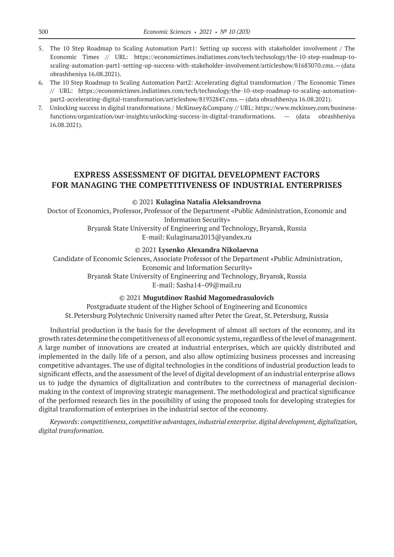- 5. The 10 Step Roadmap to Scaling Automation Part1: Setting up success with stakeholder involvement / The Economic Times // URL: https://economictimes.indiatimes.com/tech/technology/the-10-step-roadmap-toscaling-automation-part1‑setting-up-success-with-stakeholder-involvement/articleshow/81683070.cms.—(data obrashheniya 16.08.2021).
- 6. The 10 Step Roadmap to Scaling Automation Part2: Accelerating digital transformation / The Economic Times // URL: https://economictimes.indiatimes.com/tech/technology/the‑10‑step-roadmap-to-scaling-automationpart2‑accelerating-digital-transformation/articleshow/81932847.cms.— (data obrashheniya 16.08.2021).
- 7. Unlocking success in digital transformations / McKinsey&Company // URL: https://www.mckinsey.com/businessfunctions/organization/our-insights/unlocking-success-in-digital-transformations. — (data obrashheniya 16.08.2021).

### **EXPRESS ASSESSMENT OF DIGITAL DEVELOPMENT FACTORS FOR MANAGING THE COMPETITIVENESS OF INDUSTRIAL ENTERPRISES**

© 2021 **Kulagina Natalia Aleksandrovna**

Doctor of Economics, Professor, Professor of the Department «Public Administration, Economic and Information Security»

> Bryansk State University of Engineering and Technology, Bryansk, Russia E-mail: Kulaginana2013@yandex.ru

> > © 2021 **Lysenko Alexandra Nikolaevna**

Candidate of Economic Sciences, Associate Professor of the Department «Public Administration, Economic and Information Security» Bryansk State University of Engineering and Technology, Bryansk, Russia E-mail: Sasha14–09@mail.ru

### © 2021 **Mugutdinov Rashid Magomedrasulovich**

Postgraduate student of the Higher School of Engineering and Economics St.Petersburg Polytechnic University named after Peter the Great, St.Petersburg, Russia

Industrial production is the basis for the development of almost all sectors of the economy, and its growth rates determine the competitiveness of all economic systems, regardless of the level of management. A large number of innovations are created at industrial enterprises, which are quickly distributed and implemented in the daily life of a person, and also allow optimizing business processes and increasing competitive advantages. The use of digital technologies in the conditions of industrial production leads to significant effects, and the assessment of the level of digital development of an industrial enterprise allows us to judge the dynamics of digitalization and contributes to the correctness of managerial decisionmaking in the context of improving strategic management. The methodological and practical significance of the performed research lies in the possibility of using the proposed tools for developing strategies for digital transformation of enterprises in the industrial sector of the economy.

*Keywords: competitiveness, competitive advantages, industrial enterprise. digital development, digitalization, digital transformation.*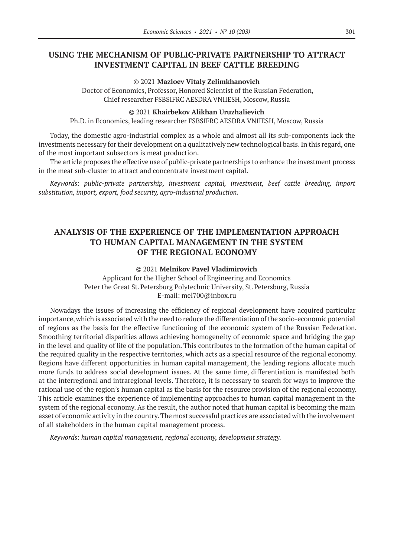# **USING THE MECHANISM OF PUBLIC-PRIVATE PARTNERSHIP TO ATTRACT INVESTMENT CAPITAL IN BEEF CATTLE BREEDING**

#### © 2021 **Mazloev Vitaly Zelimkhanovich**

Doctor of Economics, Professor, Honored Scientist of the Russian Federation, Chief researcher FSBSIFRC AESDRA VNIIESH, Moscow, Russia

#### © 2021 **Khairbekov Alikhan Uruzhalievich**

Ph.D. in Economics, leading researcher FSBSIFRC AESDRA VNIIESH, Moscow, Russia

Today, the domestic agro-industrial complex as a whole and almost all its sub-components lack the investments necessary for their development on a qualitatively new technological basis. In this regard, one of the most important subsectors is meat production.

The article proposes the effective use of public-private partnerships to enhance the investment process in the meat sub-cluster to attract and concentrate investment capital.

*Keywords: public-private partnership, investment capital, investment, beef cattle breeding, import substitution, import, export, food security, agro-industrial production.*

# **ANALYSIS OF THE EXPERIENCE OF THE IMPLEMENTATION APPROACH TO HUMAN CAPITAL MANAGEMENT IN THE SYSTEM OF THE REGIONAL ECONOMY**

#### © 2021 **Melnikov Pavel Vladimirovich**

Applicant for the Higher School of Engineering and Economics Peter the Great St. Petersburg Polytechnic University, St. Petersburg, Russia E-mail: mel700@inbox.ru

Nowadays the issues of increasing the efficiency of regional development have acquired particular importance, which is associated with the need to reduce the differentiation of the socio-economic potential of regions as the basis for the effective functioning of the economic system of the Russian Federation. Smoothing territorial disparities allows achieving homogeneity of economic space and bridging the gap in the level and quality of life of the population. This contributes to the formation of the human capital of the required quality in the respective territories, which acts as a special resource of the regional economy. Regions have different opportunities in human capital management, the leading regions allocate much more funds to address social development issues. At the same time, differentiation is manifested both at the interregional and intraregional levels. Therefore, it is necessary to search for ways to improve the rational use of the region's human capital as the basis for the resource provision of the regional economy. This article examines the experience of implementing approaches to human capital management in the system of the regional economy. As the result, the author noted that human capital is becoming the main asset of economic activity in the country. The most successful practices are associated with the involvement of all stakeholders in the human capital management process.

*Keywords: human capital management, regional economy, development strategy.*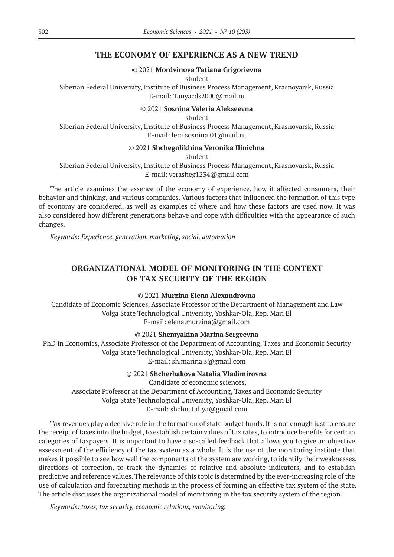### **THE ECONOMY OF EXPERIENCE AS A NEW TREND**

© 2021 **Mordvinova Tatiana Grigorievna**

student

Siberian Federal University, Institute of Business Process Management, Krasnoyarsk, Russia E-mail: Tanyacds2000@mail.ru

© 2021 **Sosnina Valeria Alekseevna**

student

Siberian Federal University, Institute of Business Process Management, Krasnoyarsk, Russia E-mail: lera.sosnina.01@mail.ru

#### © 2021 **Shchegolikhina Veronika Ilinichna**

student

Siberian Federal University, Institute of Business Process Management, Krasnoyarsk, Russia E-mail: verasheg1234@gmail.com

The article examines the essence of the economy of experience, how it affected consumers, their behavior and thinking, and various companies. Various factors that influenced the formation of this type of economy are considered, as well as examples of where and how these factors are used now. It was also considered how different generations behave and cope with difficulties with the appearance of such changes.

*Keywords: Experience, generation, marketing, social, automation*

# **ORGANIZATIONAL MODEL OF MONITORING IN THE CONTEXT OF TAX SECURITY OF THE REGION**

### © 2021 **Murzina Elena Alexandrovna**

Candidate of Economic Sciences, Associate Professor of the Department of Management and Law Volga State Technological University, Yoshkar-Ola, Rep. Mari El E-mail: elena.murzina@gmail.com

© 2021 **Shemyakina Marina Sergeevna**

PhD in Economics, Associate Professor of the Department of Accounting, Taxes and Economic Security Volga State Technological University, Yoshkar-Ola, Rep. Mari El E-mail: sh.marina.s@gmail.com

© 2021 **Shcherbakova Natalia Vladimirovna**

Candidate of economic sciences, Associate Professor at the Department of Accounting, Taxes and Economic Security Volga State Technological University, Yoshkar-Ola, Rep. Mari El E-mail: shchnataliya@gmail.com

Tax revenues play a decisive role in the formation of state budget funds. It is not enough just to ensure the receipt of taxes into the budget, to establish certain values of tax rates, to introduce benefits for certain categories of taxpayers. It is important to have a so-called feedback that allows you to give an objective assessment of the efficiency of the tax system as a whole. It is the use of the monitoring institute that makes it possible to see how well the components of the system are working, to identify their weaknesses, directions of correction, to track the dynamics of relative and absolute indicators, and to establish predictive and reference values. The relevance of this topic is determined by the ever-increasing role of the use of calculation and forecasting methods in the process of forming an effective tax system of the state. The article discusses the organizational model of monitoring in the tax security system of the region.

*Keywords: taxes, tax security, economic relations, monitoring.*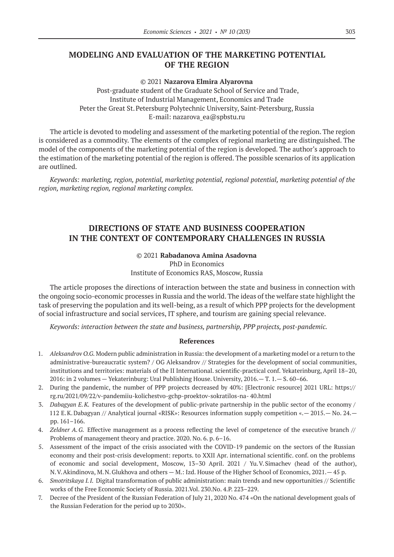# **MODELING AND EVALUATION OF THE MARKETING POTENTIAL OF THE REGION**

### © 2021 **Nazarova Elmira Alyarovna**

Post-graduate student of the Graduate School of Service and Trade, Institute of Industrial Management, Economics and Trade Peter the Great St. Petersburg Polytechnic University, Saint-Petersburg, Russia E-mail: nazarova\_ea@spbstu.ru

The article is devoted to modeling and assessment of the marketing potential of the region. The region is considered as a commodity. The elements of the complex of regional marketing are distinguished. The model of the components of the marketing potential of the region is developed. The author's approach to the estimation of the marketing potential of the region is offered. The possible scenarios of its application are outlined.

*Keywords: marketing, region, potential, marketing potential, regional potential, marketing potential of the region, marketing region, regional marketing complex.*

# **DIRECTIONS OF STATE AND BUSINESS COOPERATION IN THE CONTEXT OF CONTEMPORARY CHALLENGES IN RUSSIA**

### © 2021 **Rabadanova Amina Asadovna** PhD in Economics Institute of Economics RAS, Moscow, Russia

The article proposes the directions of interaction between the state and business in connection with the ongoing socio-economic processes in Russia and the world. The ideas of the welfare state highlight the task of preserving the population and its well-being, as a result of which PPP projects for the development of social infrastructure and social services, IT sphere, and tourism are gaining special relevance.

*Keywords: interaction between the state and business, partnership, PPP projects, post-pandemic.*

- 1. *Aleksandrov O.G.* Modern public administration in Russia: the development of a marketing model or a return to the administrative-bureaucratic system? / OG Aleksandrov // Strategies for the development of social communities, institutions and territories: materials of the II International. scientific-practical conf. Yekaterinburg, April 18–20, 2016: in 2 volumes — Yekaterinburg: Ural Publishing House. University, 2016.— T. 1.— S. 60–66.
- 2. During the pandemic, the number of PPP projects decreased by 40%: [Electronic resource] 2021 URL: https:// rg.ru/2021/09/22/v-pandemiiu-kolichestvo-gchp-proektov-sokratilos-na- 40.html
- 3. *Dabagyan E.K.* Features of the development of public-private partnership in the public sector of the economy / 112 E.K.Dabagyan // Analytical journal «RISK»: Resources information supply competition «.— 2015.— No. 24. pp. 161–166.
- 4. *Zeldner A.G.* Effective management as a process reflecting the level of competence of the executive branch // Problems of management theory and practice. 2020. No. 6. p. 6–16.
- 5. Assessment of the impact of the crisis associated with the COVID-19 pandemic on the sectors of the Russian economy and their post-crisis development: reports. to XXII Apr. international scientific. conf. on the problems of economic and social development, Moscow, 13–30 April. 2021 / Yu.V.Simachev (head of the author), N.V.Akindinova, M.N.Glukhova and others — M.: Izd. House of the Higher School of Economics, 2021.— 45 p.
- 6. *Smotritskaya I.I.* Digital transformation of public administration: main trends and new opportunities // Scientific works of the Free Economic Society of Russia. 2021.Vol. 230.No. 4.P. 223–229.
- 7. Decree of the President of the Russian Federation of July 21, 2020 No. 474 «On the national development goals of the Russian Federation for the period up to 2030».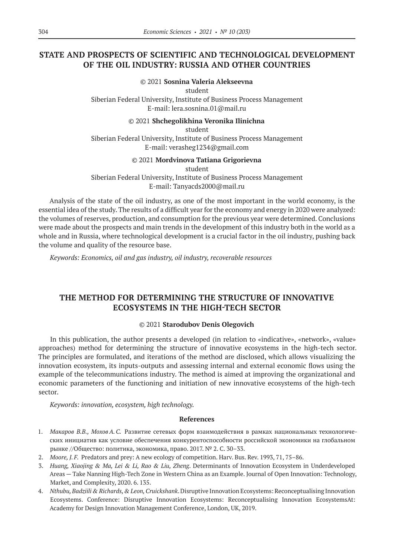# **STATE AND PROSPECTS OF SCIENTIFIC AND TECHNOLOGICAL DEVELOPMENT OF THE OIL INDUSTRY: RUSSIA AND OTHER COUNTRIES**

### © 2021 **Sosnina Valeria Alekseevna**

student

Siberian Federal University, Institute of Business Process Management E-mail: lera.sosnina.01@mail.ru

### © 2021 **Shchegolikhina Veronika Ilinichna**

student Siberian Federal University, Institute of Business Process Management E-mail: verasheg1234@gmail.com

# © 2021 **Mordvinova Tatiana Grigorievna**

student

Siberian Federal University, Institute of Business Process Management E-mail: Tanyacds2000@mail.ru

Analysis of the state of the oil industry, as one of the most important in the world economy, is the essential idea of the study. The results of a difficult year for the economy and energy in 2020 were analyzed: the volumes of reserves, production, and consumption for the previous year were determined. Conclusions were made about the prospects and main trends in the development of this industry both in the world as a whole and in Russia, where technological development is a crucial factor in the oil industry, pushing back the volume and quality of the resource base.

*Keywords: Economics, oil and gas industry, oil industry, recoverable resources*

# **THE METHOD FOR DETERMINING THE STRUCTURE OF INNOVATIVE ECOSYSTEMS IN THE HIGH-TECH SECTOR**

### © 2021 **Starodubov Denis Olegovich**

In this publication, the author presents a developed (in relation to «indicative», «network», «value» approaches) method for determining the structure of innovative ecosystems in the high-tech sector. The principles are formulated, and iterations of the method are disclosed, which allows visualizing the innovation ecosystem, its inputs-outputs and assessing internal and external economic flows using the example of the telecommunications industry. The method is aimed at improving the organizational and economic parameters of the functioning and initiation of new innovative ecosystems of the high-tech sector.

*Keywords: innovation, ecosystem, high technology.*

- 1. *Макаров В.В., МоховА.С.* Развитие сетевых форм взаимодействия в рамках национальных технологических инициатив как условие обеспечения конкурентоспособности российской экономики на глобальном рынке //Общество: политика, экономика, право. 2017. № 2. С. 30–33.
- 2. *Moore, J.F.* Predators and prey: A new ecology of competition. Harv. Bus. Rev. 1993, 71, 75–86.
- 3. *Huang, Xiaojing & Ma, Lei & Li, Rao & Liu, Zheng*. Determinants of Innovation Ecosystem in Underdeveloped Areas — Take Nanning High-Tech Zone in Western China as an Example. Journal of Open Innovation: Technology, Market, and Complexity, 2020. 6. 135.
- 4. *Nthubu, Badziili & Richards, & Leon, Cruickshank*. Disruptive Innovation Ecosystems: Reconceptualising Innovation Ecosystems. Conference: Disruptive Innovation Ecosystems: Reconceptualising Innovation EcosystemsAt: Academy for Design Innovation Management Conference, London, UK, 2019.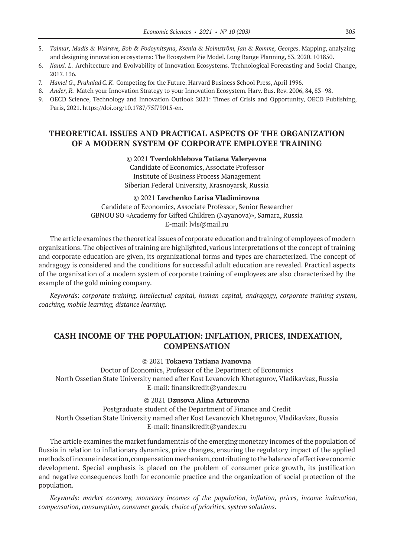- 5. *Talmar, Madis & Walrave, Bob & Podoynitsyna, Ksenia & Holmström, Jan & Romme, Georges*. Mapping, analyzing and designing innovation ecosystems: The Ecosystem Pie Model. Long Range Planning, 53, 2020. 101850.
- 6. *Jianxi. L*. Architecture and Evolvability of Innovation Ecosystems. Technological Forecasting and Social Change, 2017. 136.
- 7. *Hamel G., Prahalad C.K.* Competing for the Future. Harvard Business School Press, April 1996.
- 8. *Ander, R.* Match your Innovation Strategy to your Innovation Ecosystem. Harv. Bus. Rev. 2006, 84, 83–98.
- 9. OECD Science, Technology and Innovation Outlook 2021: Times of Crisis and Opportunity, OECD Publishing, Paris, 2021. https://doi.org/10.1787/75f79015‑en.

# **THEORETICAL ISSUES AND PRACTICAL ASPECTS OF THE ORGANIZATION OF A MODERN SYSTEM OF CORPORATE EMPLOYEE TRAINING**

#### © 2021 **Tverdokhlebova Tatiana Valeryevna**

Candidate of Economics, Associate Professor Institute of Business Process Management Siberian Federal University, Krasnoyarsk, Russia

© 2021 **Levchenko Larisa Vladimirovna** Candidate of Economics, Associate Professor, Senior Researcher GBNOU SO «Academy for Gifted Children (Nayanova)», Samara, Russia E-mail: lvls@mail.ru

The article examines the theoretical issues of corporate education and training of employees of modern organizations. The objectives of training are highlighted, various interpretations of the concept of training and corporate education are given, its organizational forms and types are characterized. The concept of andragogy is considered and the conditions for successful adult education are revealed. Practical aspects of the organization of a modern system of corporate training of employees are also characterized by the example of the gold mining company.

*Keywords: corporate training, intellectual capital, human capital, andragogy, corporate training system, coaching, mobile learning, distance learning.*

### **CASH INCOME OF THE POPULATION: INFLATION, PRICES, INDEXATION, COMPENSATION**

© 2021 **Tokaeva Tatiana Ivanovna**

Doctor of Economics, Professor of the Department of Economics North Ossetian State University named after Kost Levanovich Khetagurov, Vladikavkaz, Russia E-mail: finansikredit@yandex.ru

### © 2021 **Dzusova Alina Arturovna**

Postgraduate student of the Department of Finance and Credit North Ossetian State University named after Kost Levanovich Khetagurov, Vladikavkaz, Russia E-mail: finansikredit@yandex.ru

The article examines the market fundamentals of the emerging monetary incomes of the population of Russia in relation to inflationary dynamics, price changes, ensuring the regulatory impact of the applied methods of income indexation, compensation mechanism, contributing to the balance of effective economic development. Special emphasis is placed on the problem of consumer price growth, its justification and negative consequences both for economic practice and the organization of social protection of the population.

*Keywords: market economy, monetary incomes of the population, inflation, prices, income indexation, compensation, consumption, consumer goods, choice of priorities, system solutions.*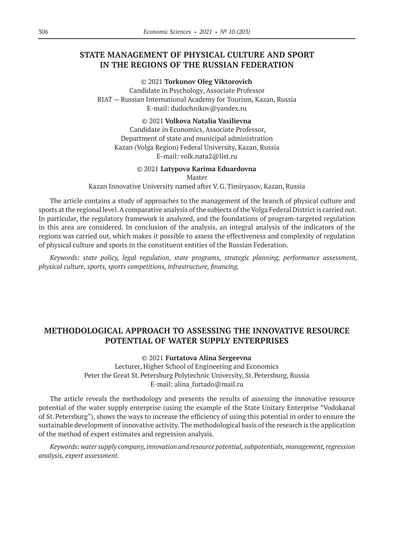# **STATE MANAGEMENT OF PHYSICAL CULTURE AND SPORT IN THE REGIONS OF THE RUSSIAN FEDERATION**

© 2021 **Torkunov Oleg Viktorovich** Candidate in Psychology, Associate Professor RIAT — Russian International Academy for Tourism, Kazan, Russia E-mail: dudochnikov@yandex.ru

© 2021 **Volkova Natalia Vasilievna** Candidate in Economics, Associate Professor, Department of state and municipal administration Kazan (Volga Region) Federal University, Kazan, Russia E-mail: volk.nata2@list.ru

#### © 2021 **Latypova Karima Eduardovna**

Master

Kazan Innovative University named after V.G.Timiryasov, Kazan, Russia

The article contains a study of approaches to the management of the branch of physical culture and sports at the regional level. A comparative analysis of the subjects of the Volga Federal District is carried out. In particular, the regulatory framework is analyzed, and the foundations of program-targeted regulation in this area are considered. In conclusion of the analysis, an integral analysis of the indicators of the regions was carried out, which makes it possible to assess the effectiveness and complexity of regulation of physical culture and sports in the constituent entities of the Russian Federation.

*Keywords: state policy, legal regulation, state programs, strategic planning, performance assessment, physical culture, sports, sports competitions, infrastructure, financing.*

# **METHODOLOGICAL APPROACH TO ASSESSING THE INNOVATIVE RESOURCE POTENTIAL OF WATER SUPPLY ENTERPRISES**

© 2021 **Furtatova Alina Sergeevna**

Lecturer, Higher School of Engineering and Economics Peter the Great St. Petersburg Polytechnic University, St. Petersburg, Russia E-mail: alina\_furtado@mail.ru

The article reveals the methodology and presents the results of assessing the innovative resource potential of the water supply enterprise (using the example of the State Unitary Enterprise "Vodokanal of St.Petersburg"), shows the ways to increase the efficiency of using this potential in order to ensure the sustainable development of innovative activity. The methodological basis of the research is the application of the method of expert estimates and regression analysis.

*Keywords: water supply company, innovation and resource potential, subpotentials, management, regression analysis, expert assessment.*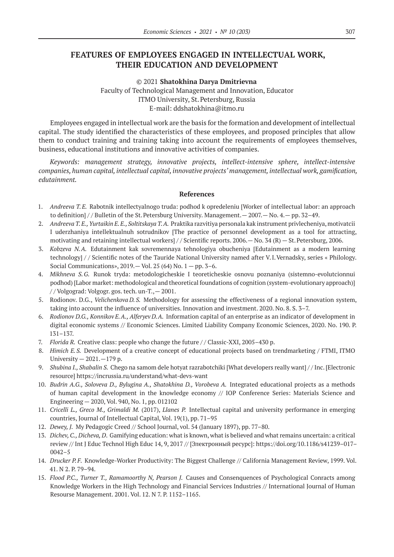# **FEATURES OF EMPLOYEES ENGAGED IN INTELLECTUAL WORK, THEIR EDUCATION AND DEVELOPMENT**

© 2021 **Shatokhina Darya Dmitrievna** Faculty of Technological Management and Innovation, Educator ITMO University, St.Petersburg, Russia E-mail: ddshatokhina@itmo.ru

Employees engaged in intellectual work are the basis for the formation and development of intellectual capital. The study identified the characteristics of these employees, and proposed principles that allow them to conduct training and training taking into account the requirements of employees themselves, business, educational institutions and innovative activities of companies.

*Keywords: management strategy, innovative projects, intellect-intensive sphere, intellect-intensive companies, human capital, intellectual capital, innovative projects' management, intellectual work, gamification, edutainment.*

- 1. *Andreeva T.E.* Rabotnik intellectyalnogo truda: podhod k opredeleniu [Worker of intellectual labor: an approach to definition] // Bulletin of the St. Petersburg University. Management. — 2007. — No. 4. — pp. 32–49.
- 2. *Andreeva T. E., Yurtaikin E.E., Soltitskaya T.A.* Praktika razvitiya personala kak instrument privlecheniya, motivatcii I uderzhaniya intellektualnuh sotrudnikov [The practice of personnel development as a tool for attracting, motivating and retaining intellectual workers] / / Scientific reports. 2006.— No. 34 (R) — St.Petersburg, 2006.
- 3. *Kobzeva N.A.* Edutainment kak sovremennaya tehnologiya obucheniya [Edutainment as a modern learning technology] / / Scientific notes of the Tauride National University named after V.I.Vernadsky, series « Philology. Social Communications»,  $2019. -$  Vol.  $25(64)$  No.  $1 -$  pp.  $3-6$ .
- 4. *Mikhneva S.G.* Runok tryda: metodologicheskie I teoreticheskie osnovu poznaniya (sistemno-evolutcionnui podhod) [Labor market: methodological and theoretical foundations of cognition (system-evolutionary approach)] / / Volgograd: Volgogr. gos. tech. un-T.,— 2001.
- 5. Rodionov. D.G., *Velichenkova D.S.* Methodology for assessing the effectiveness of a regional innovation system, taking into account the influence of universities. Innovation and investment. 2020. No. 8. S. 3–7.
- 6. *Rodionov D.G., Konnikov E.A., Alferyev D.A.* Information capital of an enterprise as an indicator of development in digital economic systems // Economic Sciences. Limited Liability Company Economic Sciences, 2020. No. 190. P. 131–137.
- 7. *Florida R. Creative class: people who change the future // Classic-XXI, 2005-430 p.*
- 8. *Himich E.S.* Development of a creative concept of educational projects based on trendmarketing / FTMI, ITMO University  $-2021$ .  $-179$  p.
- 9. *Shubina I., Shabalin S.* Chego na samom dele hotyat razrabotchiki [What developers really want] / / Inc. [Electronic resource] https://incrussia.ru/understand/what-devs-want
- 10. *Budrin A.G., Soloveva D., Bylugina A., Shatokhina D., Vorobeva A.* Integrated educational projects as a methods of human capital development in the knowledge economy // IOP Conference Series: Materials Science and Engineering — 2020, Vol. 940, No. 1, pp. 012102
- 11. *Cricelli L., Greco M., Grimaldi M.* (2017), *Llanes P.* Intellectual capital and university performance in emerging countries, Journal of Intellectual Capital, Vol. 19(1), pp. 71–95
- 12. *Dewey, J.* My Pedagogic Creed // School Journal, vol. 54 (January 1897), pp. 77–80.
- 13. *Dichev, C., Dicheva, D*. Gamifying education: what is known, what is believed and what remains uncertain: a critical review // Int J Educ Technol High Educ 14, 9, 2017 // [Электронный ресурс]: https://doi.org/10.1186/s41239–017– 0042–5
- 14. *Drucker P.F.* Knowledge-Worker Productivity: The Biggest Challenge // California Management Review, 1999. Vol. 41. N 2. P. 79–94.
- 15. *Flood P.C., Turner T., Ramamoorthy N, Pearson J.* Causes and Consenquences of Psychological Conracts among Knowledge Workers in the High Technology and Financial Services Industries // International Journal of Human Resourse Management. 2001. Vol. 12. N 7. P. 1152–1165.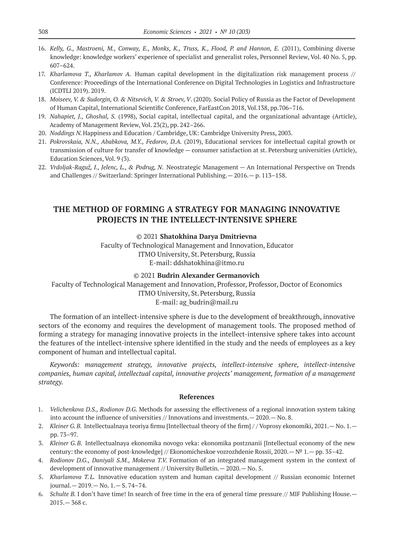- 16. *Kelly, G., Mastroeni, M., Conway, E., Monks, K., Truss, K., Flood, P. and Hannon, E.* (2011), Combining diverse knowledge: knowledge workers' experience of specialist and generalist roles, Personnel Review, Vol. 40 No. 5, pp. 607–624.
- 17. *Kharlamova T., Kharlamov A.* Human capital development in the digitalization risk management process // Conference: Proceedings of the International Conference on Digital Technologies in Logistics and Infrastructure (ICDTLI 2019). 2019.
- 18. *Moiseev, V. & Sudorgin, O. & Nitsevich, V. & Stroev, V*. (2020). Social Policy of Russia as the Factor of Development of Human Capital, International Scientific Conference, FarEastCon 2018, Vol.138, pp.706–716.
- 19. *Nahapiet, J., Ghoshal, S.* (1998), Social capital, intellectual capital, and the organizational advantage (Article), Academy of Management Review, Vol. 23(2), pp. 242–266.
- 20. *Noddings N.*Happiness and Education / Cambridge, UK: Cambridge University Press, 2003.
- 21. *Pokrovskaia, N.N., Ababkova, M.Y., Fedorov, D.A.* (2019), Educational services for intellectual capital growth or transmission of culture for transfer of knowledge — consumer satisfaction at st. Petersburg universities (Article), Education Sciences, Vol. 9 (3).
- 22. *Vrdoljak-Raguž, I., Jelenc, L., & Podrug, N*. Neostrategic Management An International Perspective on Trends and Challenges // Switzerland: Springer International Publishing.— 2016.— p. 113–158.

### **THE METHOD OF FORMING A STRATEGY FOR MANAGING INNOVATIVE PROJECTS IN THE INTELLECT-INTENSIVE SPHERE**

#### © 2021 **Shatokhina Darya Dmitrievna**

Faculty of Technological Management and Innovation, Educator ITMO University, St.Petersburg, Russia E-mail: ddshatokhina@itmo.ru

### © 2021 **Budrin Alexander Germanovich**

Faculty of Technological Management and Innovation, Professor, Professor, Doctor of Economics ITMO University, St.Petersburg, Russia E-mail: ag\_budrin@mail.ru

The formation of an intellect-intensive sphere is due to the development of breakthrough, innovative sectors of the economy and requires the development of management tools. The proposed method of forming a strategy for managing innovative projects in the intellect-intensive sphere takes into account the features of the intellect-intensive sphere identified in the study and the needs of employees as a key component of human and intellectual capital.

*Keywords: management strategy, innovative projects, intellect-intensive sphere, intellect-intensive companies, human capital, intellectual capital, innovative projects' management, formation of a management strategy.*

- 1. *Velichenkova D.S., Rodionov D.G.* Methods for assessing the effectiveness of a regional innovation system taking into account the influence of universities // Innovations and investments.— 2020.— No. 8.
- 2. *Kleiner G.B.* Intellectualnaya teoriya firmu [Intellectual theory of the firm] / / Voprosy ekonomiki, 2021.— No. 1. pp. 73–97.
- 3. *Kleiner G.B.* Intellectualnaya ekonomika novogo veka: ekonomika postznanii [Intellectual economy of the new century: the economy of post-knowledge] // Ekonomicheskoe vozrozhdenie Rossii, 2020.—№ 1.— pp. 35–42.
- 4. *Rodionov D.G., Daniyali S.M., Mokeeva T.V.* Formation of an integrated management system in the context of development of innovative management // University Bulletin.— 2020.— No. 5.
- 5. *Kharlamova T.L.* Innovative education system and human capital development // Russian economic Internet journal.— 2019.— No. 1.— S. 74–74.
- 6. *Schulte B.* I don't have time! In search of free time in the era of general time pressure // MIF Publishing House.— 2015.— 368 с.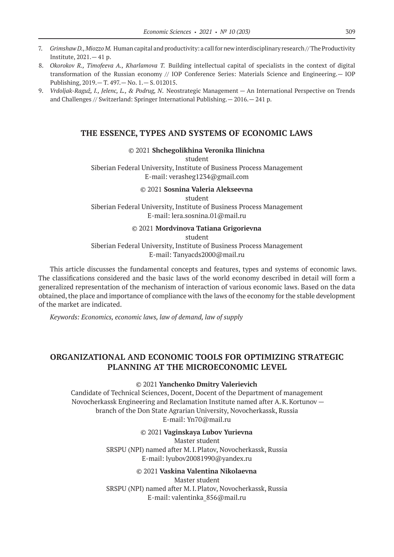- 7. *Grimshaw D., Miozzo M.* Human capital and productivity: a call for new interdisciplinary research // The Productivity Institute, 2021.— 41 p.
- 8. *Okorokov R., Timofeeva A., Kharlamova T.* Building intellectual capital of specialists in the context of digital transformation of the Russian economy // IOP Conference Series: Materials Science and Engineering.— IOP Publishing, 2019.— T. 497.— No. 1.— S. 012015.
- 9. *Vrdoljak-Raguž, I., Jelenc, L., & Podrug, N*. Neostrategic Management An International Perspective on Trends and Challenges // Switzerland: Springer International Publishing.— 2016.— 241 p.

### **THE ESSENCE, TYPES AND SYSTEMS OF ECONOMIC LAWS**

#### © 2021 **Shchegolikhina Veronika Ilinichna**

student

Siberian Federal University, Institute of Business Process Management E-mail: verasheg1234@gmail.com

### © 2021 **Sosnina Valeria Alekseevna**

student Siberian Federal University, Institute of Business Process Management E-mail: lera.sosnina.01@mail.ru

#### © 2021 **Mordvinova Tatiana Grigorievna**

student

### Siberian Federal University, Institute of Business Process Management E-mail: Tanyacds2000@mail.ru

This article discusses the fundamental concepts and features, types and systems of economic laws. The classifications considered and the basic laws of the world economy described in detail will form a generalized representation of the mechanism of interaction of various economic laws. Based on the data obtained, the place and importance of compliance with the laws of the economy for the stable development of the market are indicated.

*Keywords: Economics, economic laws, law of demand, law of supply*

# **ORGANIZATIONAL AND ECONOMIC TOOLS FOR OPTIMIZING STRATEGIC PLANNING AT THE MICROECONOMIC LEVEL**

#### © 2021 **Yanchenko Dmitry Valerievich**

Candidate of Technical Sciences, Docent, Docent of the Department of management Novocherkassk Engineering and Reclamation Institute named after A.K.Kortunov branch of the Don State Agrarian University, Novocherkassk, Russia E-mail: Yn70@mail.ru

© 2021 **Vaginskaya Lubov Yurievna**

Master student SRSPU (NPI) named after M.I.Platov, Novocherkassk, Russia E-mail: lyubov20081990@yandex.ru

#### © 2021 **Vaskina Valentina Nikolaevna**

Master student SRSPU (NPI) named after M.I.Platov, Novocherkassk, Russia E-mail: valentinka\_856@mail.ru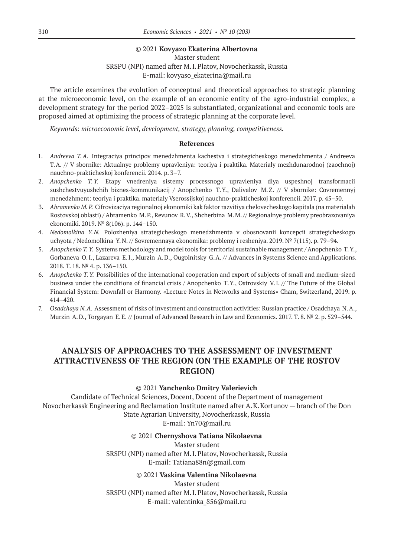#### © 2021 **Kovyazo Ekaterina Albertovna**

Master student SRSPU (NPI) named after M.I.Platov, Novocherkassk, Russia E-mail: kovyaso\_ekaterina@mail.ru

The article examines the evolution of conceptual and theoretical approaches to strategic planning at the microeconomic level, on the example of an economic entity of the agro-industrial complex, a development strategy for the period 2022–2025 is substantiated, organizational and economic tools are proposed aimed at optimizing the process of strategic planning at the corporate level.

*Keywords: microeconomic level, development, strategy, planning, competitiveness.*

### **References**

- 1. *Andreeva T.A.* Integraciya principov menedzhmenta kachestva i strategicheskogo menedzhmenta / Andreeva T.A. // V sbornike: Aktualnye problemy upravleniya: teoriya i praktika. Materialy mezhdunarodnoj (zaochnoj) nauchno-prakticheskoj konferencii. 2014. p. 3–7.
- 2. *Anopchenko T.Y.* Etapy vnedreniya sistemy processnogo upravleniya dlya uspeshnoj transformacii sushchestvuyushchih biznes-kommunikacij / Anopchenko T.Y., Dalivalov M.Z. // V sbornike: Covremennyj menedzhment: teoriya i praktika. materialy Vserossijskoj nauchno-prakticheskoj konferencii. 2017. p. 45–50.
- 3. *Abramenko M.P.* Cifrovizaciya regionalnoj ekonomiki kak faktor razvitiya chelovecheskogo kapitala (na materialah Rostovskoj oblasti) / Abramenko M.P., Revunov R.V., Shcherbina M.M. // Regionalnye problemy preobrazovaniya ekonomiki. 2019. № 8(106). p. 144–150.
- 4. *Nedomolkina Y.N.* Polozheniya strategicheskogo menedzhmenta v obosnovanii koncepcii strategicheskogo uchyota / Nedomolkina Y.N. // Sovremennaya ekonomika: problemy i resheniya. 2019. № 7(115). p. 79–94.
- 5. *Anopchenko T.Y.* Systems methodology and model tools for territorial sustainable management / Anopchenko T.Y., Gorbaneva O.I., Lazareva E.I., Murzin A.D., Ougolnitsky G.A. // Advances in Systems Science and Applications. 2018. Т. 18. № 4. p. 136–150.
- 6. *Anopchenko T.Y.* Possibilities of the international cooperation and export of subjects of small and medium-sized business under the conditions of financial crisis / Anopchenko T.Y., Ostrovskiy V.I. // The Future of the Global Financial System: Downfall or Harmony. «Lecture Notes in Networks and Systems» Cham, Switzerland, 2019. p. 414–420.
- 7. *Osadchaya N.A.* Assessment of risks of investment and construction activities: Russian practice / Osadchaya N.A., Murzin A.D., Torgayan E.E. // Journal of Advanced Research in Law and Economics. 2017. Т. 8. № 2. p. 529–544.

# **ANALYSIS OF APPROACHES TO THE ASSESSMENT OF INVESTMENT ATTRACTIVENESS OF THE REGION (ON THE EXAMPLE OF THE ROSTOV REGION)**

### © 2021 **Yanchenko Dmitry Valerievich**

Candidate of Technical Sciences, Docent, Docent of the Department of management Novocherkassk Engineering and Reclamation Institute named after A.K.Kortunov — branch of the Don State Agrarian University, Novocherkassk, Russia E-mail: Yn70@mail.ru

### © 2021 **Chernyshova Tatiana Nikolaevna**

Master student SRSPU (NPI) named after M.I.Platov, Novocherkassk, Russia E-mail: Tatiana88n@gmail.com

### © 2021 **Vaskina Valentina Nikolaevna**

Master student SRSPU (NPI) named after M.I.Platov, Novocherkassk, Russia E-mail: valentinka\_856@mail.ru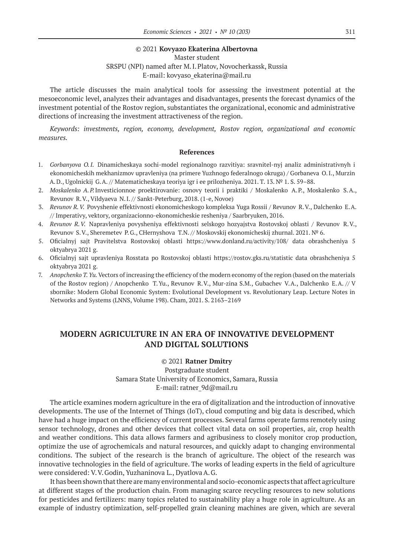#### © 2021 **Kovyazo Ekaterina Albertovna**

Master student SRSPU (NPI) named after M.I.Platov, Novocherkassk, Russia E-mail: kovyaso\_ekaterina@mail.ru

The article discusses the main analytical tools for assessing the investment potential at the mesoeconomic level, analyzes their advantages and disadvantages, presents the forecast dynamics of the investment potential of the Rostov region, substantiates the organizational, economic and administrative directions of increasing the investment attractiveness of the region.

*Keywords: investments, region, economy, development, Rostov region, organizational and economic measures.*

#### **References**

- 1. *Gorbanyova O.I.* Dinamicheskaya sochi-model regionalnogo razvitiya: sravnitel-nyj analiz administrativnyh i ekonomicheskih mekhanizmov upravleniya (na primere Yuzhnogo federalnogo okruga) / Gorbaneva O.I., Murzin A.D., Ugolnickij G.A. // Matematicheskaya teoriya igr i ee prilozheniya. 2021. T. 13. № 1. S. 59–88.
- 2. *Moskalenko A.P.*Investicionnoe proektirovanie: osnovy teorii i praktiki / Moskalenko A.P., Moskalenko S.A., Revunov R.V., Vildyaeva N.I. // Sankt-Peterburg, 2018. (1‑e, Novoe)
- 3. *Revunov R.V.* Povyshenie effektivnosti ekonomicheskogo kompleksa Yuga Rossii / Revunov R.V., Dalchenko E.A. // Imperativy, vektory, organizacionno-ekonomicheskie resheniya / Saarbryuken, 2016.
- 4. *Revunov R.V.* Napravleniya povysheniya effektivnosti selskogo hozyajstva Rostovskoj oblasti / Revunov R.V., Revunov S.V., Sheremetev P.G., CHernyshova T.N. // Moskovskij ekonomicheskij zhurnal. 2021. № 6.
- 5. Oficialnyj sajt Pravitelstva Rostovskoj oblasti https://www.donland.ru/activity/108/ data obrashcheniya 5 oktyabrya 2021 g.
- 6. Oficialnyj sajt upravleniya Rosstata po Rostovskoj oblasti https://rostov.gks.ru/statistic data obrashcheniya 5 oktyabrya 2021 g.
- 7. *Anopchenko T.Yu.* Vectors of increasing the efficiency of the modern economy of the region (based on the materials of the Rostov region) / Anopchenko T.Yu., Revunov R.V., Mur-zina S.M., Gubachev V.A., Dalchenko E.A. // V sbornike: Modern Global Economic System: Evolutional Development vs. Revolutionary Leap. Lecture Notes in Networks and Systems (LNNS, Volume 198). Cham, 2021. S. 2163–2169

### **MODERN AGRICULTURE IN AN ERA OF INNOVATIVE DEVELOPMENT AND DIGITAL SOLUTIONS**

#### © 2021 **Ratner Dmitry**

Postgraduate student Samara State University of Economics, Samara, Russia E-mail: ratner\_9d@mail.ru

The article examines modern agriculture in the era of digitalization and the introduction of innovative developments. The use of the Internet of Things (IoT), cloud computing and big data is described, which have had a huge impact on the efficiency of current processes. Several farms operate farms remotely using sensor technology, drones and other devices that collect vital data on soil properties, air, crop health and weather conditions. This data allows farmers and agribusiness to closely monitor crop production, optimize the use of agrochemicals and natural resources, and quickly adapt to changing environmental conditions. The subject of the research is the branch of agriculture. The object of the research was innovative technologies in the field of agriculture. The works of leading experts in the field of agriculture were considered: V.V.Godin, Yuzhaninova L., DyatlovaA.G.

It has been shown that there are many environmental and socio-economic aspects that affect agriculture at different stages of the production chain. From managing scarce recycling resources to new solutions for pesticides and fertilizers: many topics related to sustainability play a huge role in agriculture. As an example of industry optimization, self-propelled grain cleaning machines are given, which are several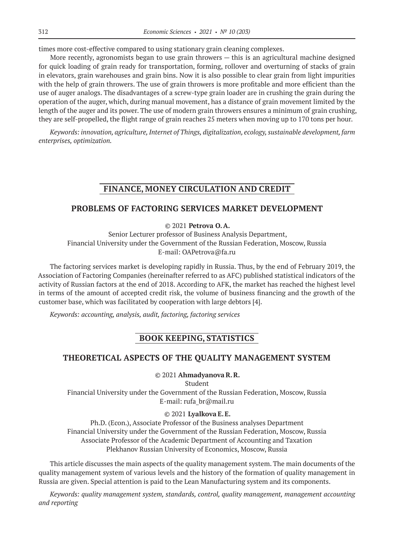times more cost-effective compared to using stationary grain cleaning complexes.

More recently, agronomists began to use grain throwers — this is an agricultural machine designed for quick loading of grain ready for transportation, forming, rollover and overturning of stacks of grain in elevators, grain warehouses and grain bins. Now it is also possible to clear grain from light impurities with the help of grain throwers. The use of grain throwers is more profitable and more efficient than the use of auger analogs. The disadvantages of a screw-type grain loader are in crushing the grain during the operation of the auger, which, during manual movement, has a distance of grain movement limited by the length of the auger and its power. The use of modern grain throwers ensures a minimum of grain crushing, they are self-propelled, the flight range of grain reaches 25 meters when moving up to 170 tons per hour.

*Keywords: innovation, agriculture, Internet of Things, digitalization, ecology, sustainable development, farm enterprises, optimization.*

# **FINANCE, MONEY CIRCULATION AND CREDIT**

### **PROBLEMS OF FACTORING SERVICES MARKET DEVELOPMENT**

### © 2021 **Petrova O.A.**

Senior Lecturer professor of Business Analysis Department, Financial University under the Government of the Russian Federation, Moscow, Russia E-mail: OAPetrova@fa.ru

The factoring services market is developing rapidly in Russia. Thus, by the end of February 2019, the Association of Factoring Companies (hereinafter referred to as AFC) published statistical indicators of the activity of Russian factors at the end of 2018. According to AFK, the market has reached the highest level in terms of the amount of accepted credit risk, the volume of business financing and the growth of the customer base, which was facilitated by cooperation with large debtors [4].

*Keywords: accounting, analysis, audit, factoring, factoring services*

# **BOOK KEEPING, STATISTICS**

### **THEORETICAL ASPECTS OF THE QUALITY MANAGEMENT SYSTEM**

#### © 2021 **AhmadyanovaR.R.**

Student

Financial University under the Government of the Russian Federation, Moscow, Russia E-mail: rufa\_br@mail.ru

### © 2021 **Lyalkova E.E.**

Ph.D. (Econ.), Associate Professor of the Business analyses Department Financial University under the Government of the Russian Federation, Moscow, Russia Associate Professor of the Academic Department of Accounting and Taxation Plekhanov Russian University of Economics, Moscow, Russia

This article discusses the main aspects of the quality management system. The main documents of the quality management system of various levels and the history of the formation of quality management in Russia are given. Special attention is paid to the Lean Manufacturing system and its components.

*Keywords: quality management system, standards, control, quality management, management accounting and reporting*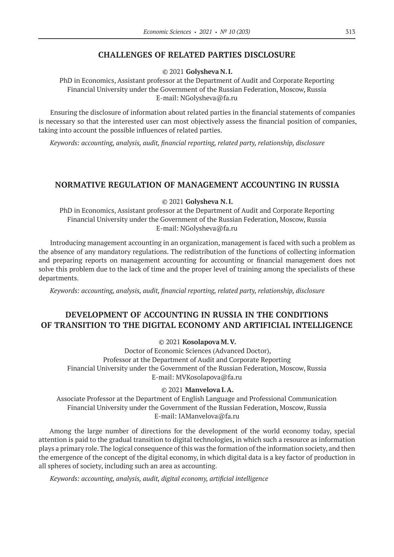### **CHALLENGES OF RELATED PARTIES DISCLOSURE**

© 2021 **Golysheva N.I.**

PhD in Economics, Assistant professor at the Department of Audit and Corporate Reporting Financial University under the Government of the Russian Federation, Moscow, Russia E-mail: NGolysheva@fa.ru

Ensuring the disclosure of information about related parties in the financial statements of companies is necessary so that the interested user can most objectively assess the financial position of companies, taking into account the possible influences of related parties.

*Keywords: accounting, analysis, audit, financial reporting, related party, relationship, disclosure*

### **NORMATIVE REGULATION OF MANAGEMENT ACCOUNTING IN RUSSIA**

© 2021 **Golysheva N.I.**

PhD in Economics, Assistant professor at the Department of Audit and Corporate Reporting Financial University under the Government of the Russian Federation, Moscow, Russia E-mail: NGolysheva@fa.ru

Introducing management accounting in an organization, management is faced with such a problem as the absence of any mandatory regulations. The redistribution of the functions of collecting information and preparing reports on management accounting for accounting or financial management does not solve this problem due to the lack of time and the proper level of training among the specialists of these departments.

*Keywords: accounting, analysis, audit, financial reporting, related party, relationship, disclosure*

# **DEVELOPMENT OF ACCOUNTING IN RUSSIA IN THE CONDITIONS OF TRANSITION TO THE DIGITAL ECONOMY AND ARTIFICIAL INTELLIGENCE**

© 2021 **Kosolapova M.V.**

Doctor of Economic Sciences (Advanced Doctor), Professor at the Department of Audit and Corporate Reporting Financial University under the Government of the Russian Federation, Moscow, Russia E-mail: MVKosolapova@fa.ru

© 2021 **Manvelova I.A.**

Associate Professor at the Department of English Language and Professional Communication Financial University under the Government of the Russian Federation, Moscow, Russia E-mail: IAManvelova@fa.ru

Among the large number of directions for the development of the world economy today, special attention is paid to the gradual transition to digital technologies, in which such a resource as information plays a primary role. The logical consequence of this was the formation of the information society, and then the emergence of the concept of the digital economy, in which digital data is a key factor of production in all spheres of society, including such an area as accounting.

*Keywords: accounting, analysis, audit, digital economy, artificial intelligence*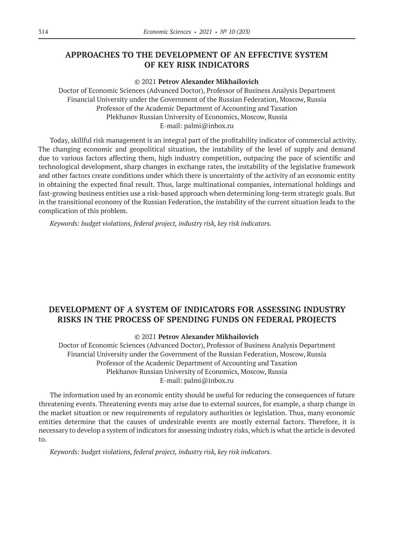# **APPROACHES TO THE DEVELOPMENT OF AN EFFECTIVE SYSTEM OF KEY RISK INDICATORS**

#### © 2021 **Petrov Alexander Mikhailovich**

Doctor of Economic Sciences (Advanced Doctor), Professor of Business Analysis Department Financial University under the Government of the Russian Federation, Moscow, Russia Professor of the Academic Department of Accounting and Taxation Plekhanov Russian University of Economics, Moscow, Russia E-mail: palmi@inbox.ru

Today, skillful risk management is an integral part of the profitability indicator of commercial activity. The changing economic and geopolitical situation, the instability of the level of supply and demand due to various factors affecting them, high industry competition, outpacing the pace of scientific and technological development, sharp changes in exchange rates, the instability of the legislative framework and other factors create conditions under which there is uncertainty of the activity of an economic entity in obtaining the expected final result. Thus, large multinational companies, international holdings and fast-growing business entities use a risk-based approach when determining long-term strategic goals. But in the transitional economy of the Russian Federation, the instability of the current situation leads to the complication of this problem.

*Keywords: budget violations, federal project, industry risk, key risk indicators.*

# **DEVELOPMENT OF A SYSTEM OF INDICATORS FOR ASSESSING INDUSTRY RISKS IN THE PROCESS OF SPENDING FUNDS ON FEDERAL PROJECTS**

#### © 2021 **Petrov Alexander Mikhailovich**

Doctor of Economic Sciences (Advanced Doctor), Professor of Business Analysis Department Financial University under the Government of the Russian Federation, Moscow, Russia Professor of the Academic Department of Accounting and Taxation Plekhanov Russian University of Economics, Moscow, Russia E-mail: palmi@inbox.ru

The information used by an economic entity should be useful for reducing the consequences of future threatening events. Threatening events may arise due to external sources, for example, a sharp change in the market situation or new requirements of regulatory authorities or legislation. Thus, many economic entities determine that the causes of undesirable events are mostly external factors. Therefore, it is necessary to develop a system of indicators for assessing industry risks, which is what the article is devoted to.

*Keywords: budget violations, federal project, industry risk, key risk indicators.*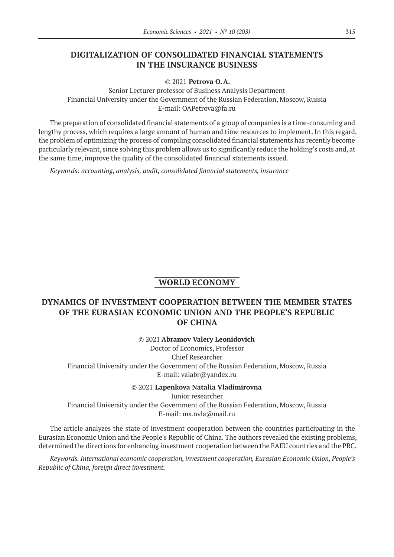# **DIGITALIZATION OF CONSOLIDATED FINANCIAL STATEMENTS IN THE INSURANCE BUSINESS**

© 2021 **Petrova O.A.**

Senior Lecturer professor of Business Analysis Department Financial University under the Government of the Russian Federation, Moscow, Russia E-mail: OAPetrova@fa.ru

The preparation of consolidated financial statements of a group of companies is a time-consuming and lengthy process, which requires a large amount of human and time resources to implement. In this regard, the problem of optimizing the process of compiling consolidated financial statements has recently become particularly relevant, since solving this problem allows us to significantly reduce the holding's costs and, at the same time, improve the quality of the consolidated financial statements issued.

*Keywords: accounting, analysis, audit, consolidated financial statements, insurance*

# **WORLD ECONOMY**

# **DYNAMICS OF INVESTMENT COOPERATION BETWEEN THE MEMBER STATES OF THE EURASIAN ECONOMIC UNION AND THE PEOPLE'S REPUBLIC OF CHINA**

© 2021 **Abramov Valery Leonidovich**

Doctor of Economics, Professor Chief Researcher Financial University under the Government of the Russian Federation, Moscow, Russia E-mail: valabr@yandex.ru

© 2021 **Lapenkova Natalia Vladimirovna** Junior researcher Financial University under the Government of the Russian Federation, Moscow, Russia E-mail: ms.nvla@mail.ru

The article analyzes the state of investment cooperation between the countries participating in the Eurasian Economic Union and the People's Republic of China. The authors revealed the existing problems, determined the directions for enhancing investment cooperation between the EAEU countries and the PRC.

*Keywords. International economic cooperation, investment cooperation, Eurasian Economic Union, People's Republic of China, foreign direct investment.*